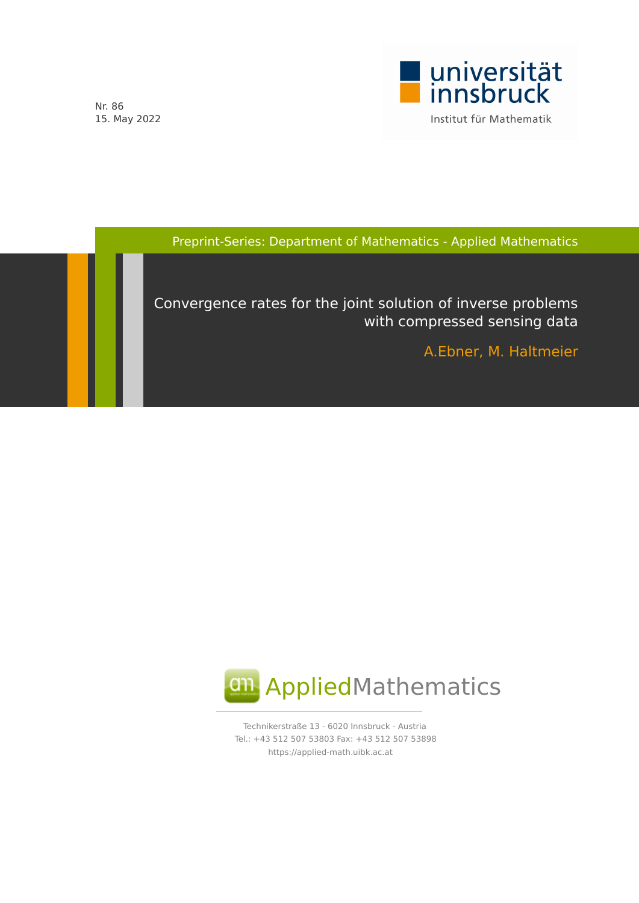

Nr. 86 15. May 2022

Preprint-Series: Department of Mathematics - Applied Mathematics

Convergence rates for the joint solution of inverse problems with compressed sensing data

A.Ebner, M. Haltmeier



Technikerstraße 13 - 6020 Innsbruck - Austria Tel.: +43 512 507 53803 Fax: +43 512 507 53898 https://applied-math.uibk.ac.at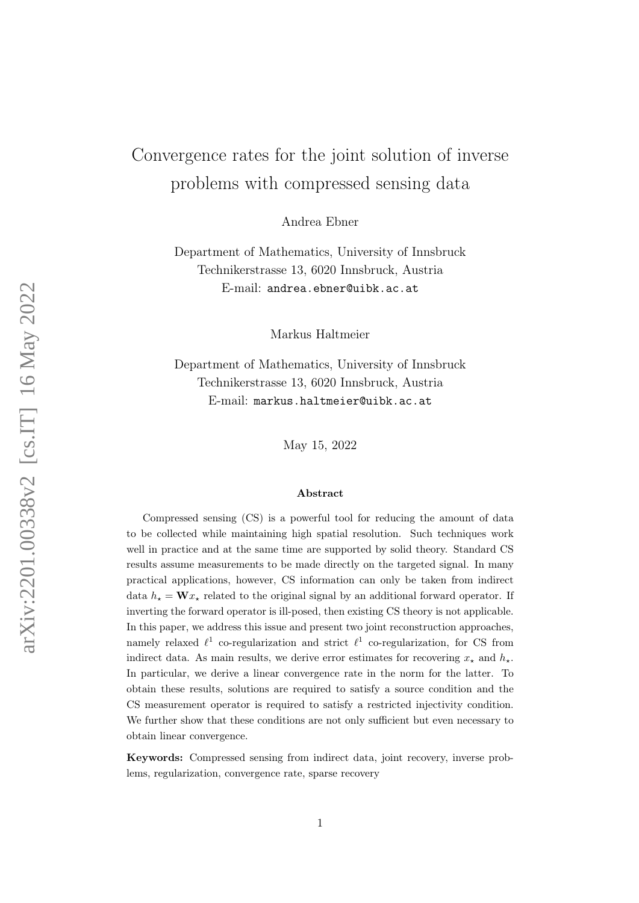# Convergence rates for the joint solution of inverse problems with compressed sensing data

Andrea Ebner

Department of Mathematics, University of Innsbruck Technikerstrasse 13, 6020 Innsbruck, Austria E-mail: andrea.ebner@uibk.ac.at

Markus Haltmeier

Department of Mathematics, University of Innsbruck Technikerstrasse 13, 6020 Innsbruck, Austria E-mail: markus.haltmeier@uibk.ac.at

May 15, 2022

#### Abstract

Compressed sensing (CS) is a powerful tool for reducing the amount of data to be collected while maintaining high spatial resolution. Such techniques work well in practice and at the same time are supported by solid theory. Standard CS results assume measurements to be made directly on the targeted signal. In many practical applications, however, CS information can only be taken from indirect data  $h_{\star} = \mathbf{W} x_{\star}$  related to the original signal by an additional forward operator. If inverting the forward operator is ill-posed, then existing CS theory is not applicable. In this paper, we address this issue and present two joint reconstruction approaches, namely relaxed  $\ell^1$  co-regularization and strict  $\ell^1$  co-regularization, for CS from indirect data. As main results, we derive error estimates for recovering  $x_{\star}$  and  $h_{\star}$ . In particular, we derive a linear convergence rate in the norm for the latter. To obtain these results, solutions are required to satisfy a source condition and the CS measurement operator is required to satisfy a restricted injectivity condition. We further show that these conditions are not only sufficient but even necessary to obtain linear convergence.

Keywords: Compressed sensing from indirect data, joint recovery, inverse problems, regularization, convergence rate, sparse recovery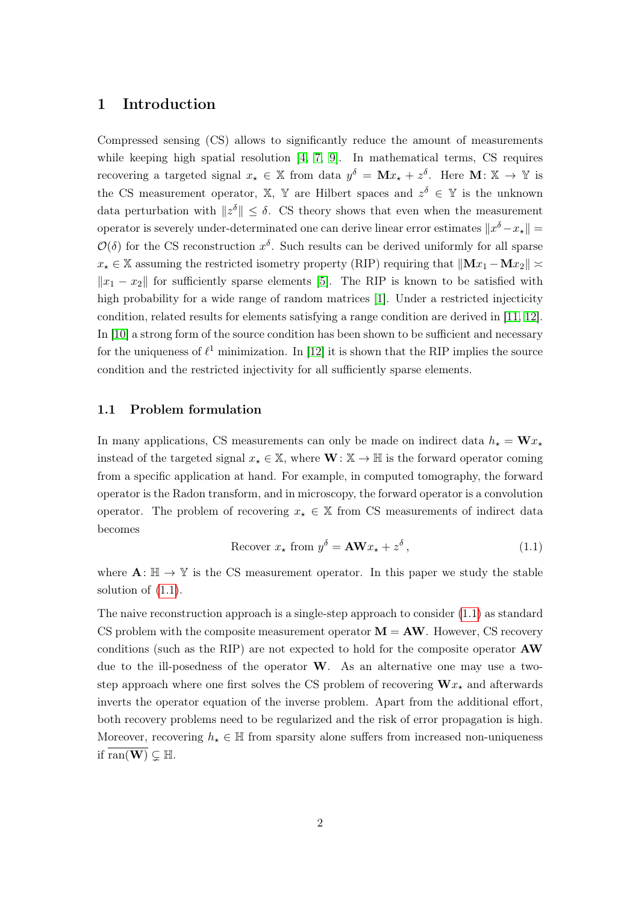# 1 Introduction

Compressed sensing (CS) allows to significantly reduce the amount of measurements while keeping high spatial resolution [4, 7, 9]. In mathematical terms, CS requires recovering a targeted signal  $x_* \in \mathbb{X}$  from data  $y^{\delta} = \mathbf{M}x_* + z^{\delta}$ . Here  $\mathbf{M}: \mathbb{X} \to \mathbb{Y}$  is the CS measurement operator,  $\mathbb{X}, \mathbb{Y}$  are Hilbert spaces and  $z^{\delta} \in \mathbb{Y}$  is the unknown data perturbation with  $||z^{\delta}|| \leq \delta$ . CS theory shows that even when the measurement operator is severely under-determinated one can derive linear error estimates  $\|x^{\delta}-x_{\star}\| =$  $\mathcal{O}(\delta)$  for the CS reconstruction  $x^{\delta}$ . Such results can be derived uniformly for all sparse  $x_{\star} \in \mathbb{X}$  assuming the restricted isometry property (RIP) requiring that  $||\mathbf{M}x_1 - \mathbf{M}x_2|| \approx$  $||x_1 - x_2||$  for sufficiently sparse elements [5]. The RIP is known to be satisfied with high probability for a wide range of random matrices [1]. Under a restricted injecticity condition, related results for elements satisfying a range condition are derived in [11, 12]. In [10] a strong form of the source condition has been shown to be sufficient and necessary for the uniqueness of  $\ell^1$  minimization. In [12] it is shown that the RIP implies the source condition and the restricted injectivity for all sufficiently sparse elements.

### 1.1 Problem formulation

In many applications, CS measurements can only be made on indirect data  $h_{\star} = \mathbf{W} x_{\star}$ instead of the targeted signal  $x_* \in \mathbb{X}$ , where  $\mathbf{W}: \mathbb{X} \to \mathbb{H}$  is the forward operator coming from a specific application at hand. For example, in computed tomography, the forward operator is the Radon transform, and in microscopy, the forward operator is a convolution operator. The problem of recovering  $x_{\star} \in \mathbb{X}$  from CS measurements of indirect data becomes

$$
\text{Recover } x_{\star} \text{ from } y^{\delta} = \mathbf{A} \mathbf{W} x_{\star} + z^{\delta}, \tag{1.1}
$$

where  $\mathbf{A} : \mathbb{H} \to \mathbb{Y}$  is the CS measurement operator. In this paper we study the stable solution of (1.1).

The naive reconstruction approach is a single-step approach to consider  $(1.1)$  as standard CS problem with the composite measurement operator  $\mathbf{M} = \mathbf{A}\mathbf{W}$ . However, CS recovery conditions (such as the RIP) are not expected to hold for the composite operator AW due to the ill-posedness of the operator  $W$ . As an alternative one may use a twostep approach where one first solves the CS problem of recovering  $\mathbf{W}x_{\star}$  and afterwards inverts the operator equation of the inverse problem. Apart from the additional effort, both recovery problems need to be regularized and the risk of error propagation is high. Moreover, recovering  $h<sub>\star</sub> \in \mathbb{H}$  from sparsity alone suffers from increased non-uniqueness if ran( $\overline{\mathbf{W}}$ )  $\subseteq$  H.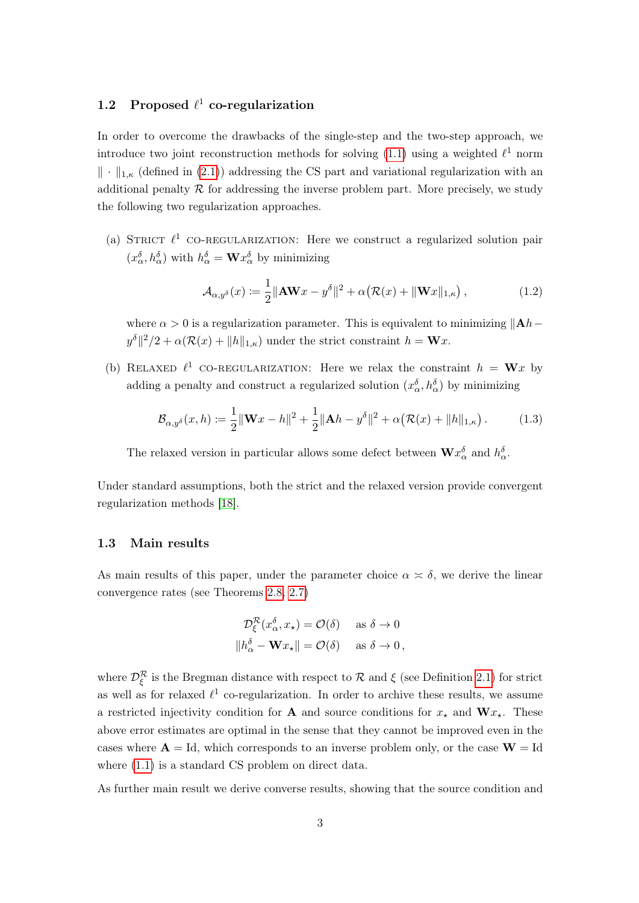# 1.2 Proposed  $\ell^1$  co-regularization

In order to overcome the drawbacks of the single-step and the two-step approach, we introduce two joint reconstruction methods for solving (1.1) using a weighted  $\ell^1$  norm  $\|\cdot\|_{1,\kappa}$  (defined in (2.1)) addressing the CS part and variational regularization with an additional penalty  $R$  for addressing the inverse problem part. More precisely, we study the following two regularization approaches.

(a) STRICT  $\ell^1$  CO-REGULARIZATION: Here we construct a regularized solution pair  $(x_{\alpha}^{\delta}, h_{\alpha}^{\delta})$  with  $h_{\alpha}^{\delta} = \mathbf{W} x_{\alpha}^{\delta}$  by minimizing

$$
\mathcal{A}_{\alpha,y^{\delta}}(x) \coloneqq \frac{1}{2} \|\mathbf{A}\mathbf{W}x - y^{\delta}\|^{2} + \alpha \big(\mathcal{R}(x) + \|\mathbf{W}x\|_{1,\kappa}\big) ,\tag{1.2}
$$

where  $\alpha > 0$  is a regularization parameter. This is equivalent to minimizing  $||A h$  $y^{\delta}||^{2}/2 + \alpha(\mathcal{R}(x) + ||h||_{1,\kappa})$  under the strict constraint  $h = \mathbf{W}x$ .

(b) RELAXED  $\ell^1$  CO-REGULARIZATION: Here we relax the constraint  $h = \mathbf{W}x$  by adding a penalty and construct a regularized solution  $(x_{\alpha}^{\delta}, h_{\alpha}^{\delta})$  by minimizing

$$
\mathcal{B}_{\alpha,y^{\delta}}(x,h) \coloneqq \frac{1}{2} \|\mathbf{W}x - h\|^2 + \frac{1}{2} \|\mathbf{A}h - y^{\delta}\|^2 + \alpha \big(\mathcal{R}(x) + \|h\|_{1,\kappa}\big) \,. \tag{1.3}
$$

The relaxed version in particular allows some defect between  $\mathbf{W} x_{\alpha}^{\delta}$  and  $h_{\alpha}^{\delta}$ .

Under standard assumptions, both the strict and the relaxed version provide convergent regularization methods [18].

#### 1.3 Main results

As main results of this paper, under the parameter choice  $\alpha \approx \delta$ , we derive the linear convergence rates (see Theorems 2.8, 2.7)

$$
\mathcal{D}_{\xi}^{\mathcal{R}}(x_{\alpha}^{\delta}, x_{\star}) = \mathcal{O}(\delta) \quad \text{ as } \delta \to 0
$$
  

$$
||h_{\alpha}^{\delta} - \mathbf{W}x_{\star}|| = \mathcal{O}(\delta) \quad \text{ as } \delta \to 0,
$$

where  $\mathcal{D}_{\xi}^{\mathcal{R}}$  is the Bregman distance with respect to  $\mathcal{R}$  and  $\xi$  (see Definition 2.1) for strict as well as for relaxed  $\ell^1$  co-regularization. In order to archive these results, we assume a restricted injectivity condition for **A** and source conditions for  $x_{\star}$  and  $\mathbf{W}x_{\star}$ . These above error estimates are optimal in the sense that they cannot be improved even in the cases where  $A = Id$ , which corresponds to an inverse problem only, or the case  $W = Id$ where  $(1.1)$  is a standard CS problem on direct data.

As further main result we derive converse results, showing that the source condition and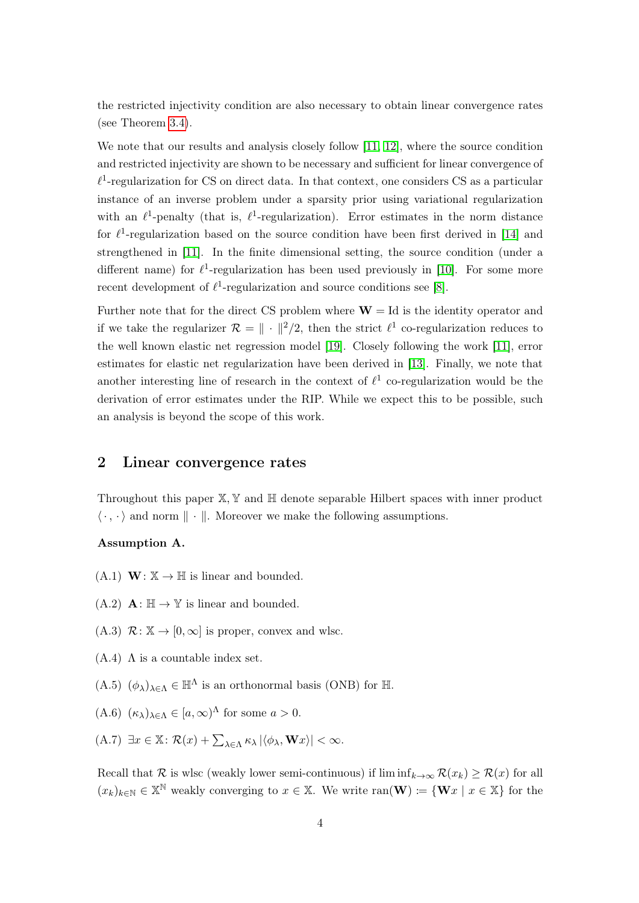the restricted injectivity condition are also necessary to obtain linear convergence rates (see Theorem 3.4).

We note that our results and analysis closely follow [11, 12], where the source condition and restricted injectivity are shown to be necessary and sufficient for linear convergence of  $\ell^1$ -regularization for CS on direct data. In that context, one considers CS as a particular instance of an inverse problem under a sparsity prior using variational regularization with an  $\ell^1$ -penalty (that is,  $\ell^1$ -regularization). Error estimates in the norm distance for  $\ell^1$ -regularization based on the source condition have been first derived in [14] and strengthened in [11]. In the finite dimensional setting, the source condition (under a different name) for  $\ell^1$ -regularization has been used previously in [10]. For some more recent development of  $\ell^1$ -regularization and source conditions see [8].

Further note that for the direct CS problem where  $W = Id$  is the identity operator and if we take the regularizer  $\mathcal{R} = \| \cdot \|^2 / 2$ , then the strict  $\ell^1$  co-regularization reduces to the well known elastic net regression model [19]. Closely following the work [11], error estimates for elastic net regularization have been derived in [13]. Finally, we note that another interesting line of research in the context of  $\ell^1$  co-regularization would be the derivation of error estimates under the RIP. While we expect this to be possible, such an analysis is beyond the scope of this work.

## 2 Linear convergence rates

Throughout this paper  $\mathbb{X}, \mathbb{Y}$  and  $\mathbb{H}$  denote separable Hilbert spaces with inner product  $\langle \cdot, \cdot \rangle$  and norm  $\|\cdot\|$ . Moreover we make the following assumptions.

### Assumption A.

- $(A.1)$  **W**:  $\mathbb{X} \to \mathbb{H}$  is linear and bounded.
- $(A.2)$   $\mathbf{A} : \mathbb{H} \to \mathbb{Y}$  is linear and bounded.
- $(A.3)$   $\mathcal{R}: \mathbb{X} \to [0, \infty]$  is proper, convex and wlsc.
- $(A.4)$   $\Lambda$  is a countable index set.
- $(A.5)$   $(\phi_{\lambda})_{\lambda \in \Lambda} \in \mathbb{H}^{\Lambda}$  is an orthonormal basis (ONB) for H.
- $(A.6)$   $(\kappa_{\lambda})_{\lambda \in \Lambda} \in [a, \infty)^{\Lambda}$  for some  $a > 0$ .
- (A.7)  $\exists x \in \mathbb{X} \colon \mathcal{R}(x) + \sum_{\lambda \in \Lambda} \kappa_{\lambda} |\langle \phi_{\lambda}, \mathbf{W} x \rangle| < \infty.$

Recall that R is wlsc (weakly lower semi-continuous) if  $\liminf_{k\to\infty} \mathcal{R}(x_k) \geq \mathcal{R}(x)$  for all  $(x_k)_{k\in\mathbb{N}}\in\mathbb{X}^{\mathbb{N}}$  weakly converging to  $x\in\mathbb{X}$ . We write  $\text{ran}(\mathbf{W})\coloneqq\{\mathbf{W}x\mid x\in\mathbb{X}\}\)$  for the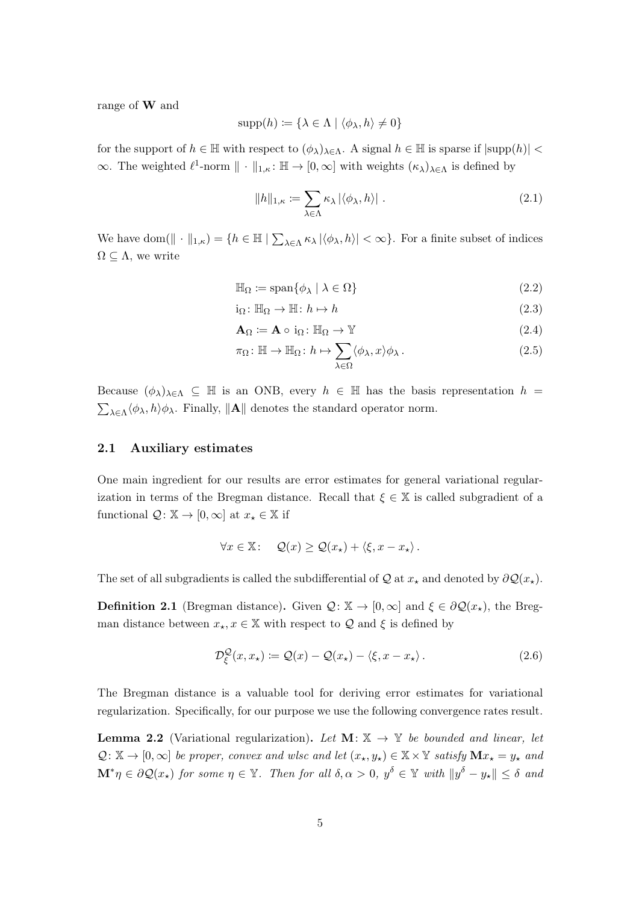range of W and

$$
supp(h) \coloneqq \{ \lambda \in \Lambda \mid \langle \phi_{\lambda}, h \rangle \neq 0 \}
$$

for the support of  $h \in \mathbb{H}$  with respect to  $(\phi_{\lambda})_{\lambda \in \Lambda}$ . A signal  $h \in \mathbb{H}$  is sparse if  $|\text{supp}(h)| <$  $\infty$ . The weighted  $\ell^1$ -norm  $\|\cdot\|_{1,\kappa} : \mathbb{H} \to [0,\infty]$  with weights  $(\kappa_\lambda)_{\lambda \in \Lambda}$  is defined by

$$
||h||_{1,\kappa} := \sum_{\lambda \in \Lambda} \kappa_{\lambda} |\langle \phi_{\lambda}, h \rangle| \tag{2.1}
$$

We have dom( $\|\cdot\|_{1,\kappa}$ ) = { $h \in \mathbb{H} \mid \sum_{\lambda \in \Lambda} \kappa_{\lambda} |\langle \phi_{\lambda}, h \rangle| < \infty$ }. For a finite subset of indices  $\Omega \subseteq \Lambda$ , we write

$$
\mathbb{H}_{\Omega} \coloneqq \text{span}\{\phi_{\lambda} \mid \lambda \in \Omega\} \tag{2.2}
$$

$$
i_{\Omega} \colon \mathbb{H}_{\Omega} \to \mathbb{H} \colon h \mapsto h \tag{2.3}
$$

$$
\mathbf{A}_{\Omega} \coloneqq \mathbf{A} \circ i_{\Omega} \colon \mathbb{H}_{\Omega} \to \mathbb{Y} \tag{2.4}
$$

$$
\pi_{\Omega} : \mathbb{H} \to \mathbb{H}_{\Omega} : h \mapsto \sum_{\lambda \in \Omega} \langle \phi_{\lambda}, x \rangle \phi_{\lambda} . \tag{2.5}
$$

Because  $(\phi_{\lambda})_{\lambda \in \Lambda} \subseteq \mathbb{H}$  is an ONB, every  $h \in \mathbb{H}$  has the basis representation  $h =$  $\sum_{\lambda \in \Lambda} \langle \phi_{\lambda}, h \rangle \phi_{\lambda}$ . Finally,  $\|\mathbf{A}\|$  denotes the standard operator norm.

#### 2.1 Auxiliary estimates

One main ingredient for our results are error estimates for general variational regularization in terms of the Bregman distance. Recall that  $\xi \in \mathbb{X}$  is called subgradient of a functional  $\mathcal{Q}: \mathbb{X} \to [0, \infty]$  at  $x_* \in \mathbb{X}$  if

$$
\forall x \in \mathbb{X}: \quad \mathcal{Q}(x) \geq \mathcal{Q}(x_{\star}) + \langle \xi, x - x_{\star} \rangle.
$$

The set of all subgradients is called the subdifferential of Q at  $x_{\star}$  and denoted by  $\partial \mathcal{Q}(x_{\star})$ .

**Definition 2.1** (Bregman distance). Given  $\mathcal{Q}: \mathbb{X} \to [0,\infty]$  and  $\xi \in \partial \mathcal{Q}(x_{\star})$ , the Bregman distance between  $x_{\star}, x \in \mathbb{X}$  with respect to  $\mathcal Q$  and  $\xi$  is defined by

$$
\mathcal{D}_{\xi}^{\mathcal{Q}}(x, x_{\star}) \coloneqq \mathcal{Q}(x) - \mathcal{Q}(x_{\star}) - \langle \xi, x - x_{\star} \rangle. \tag{2.6}
$$

The Bregman distance is a valuable tool for deriving error estimates for variational regularization. Specifically, for our purpose we use the following convergence rates result.

**Lemma 2.2** (Variational regularization). Let  $\mathbf{M} \colon \mathbb{X} \to \mathbb{Y}$  be bounded and linear, let  $\mathcal{Q}: \mathbb{X} \to [0,\infty]$  be proper, convex and wlsc and let  $(x_\star, y_\star) \in \mathbb{X} \times \mathbb{Y}$  satisfy  $\mathbf{M}x_\star = y_\star$  and  $\mathbf{M}^*\eta\in\partial\mathcal{Q}(x_{\star})$  for some  $\eta\in\mathbb{Y}$ . Then for all  $\delta,\alpha>0,$   $y^{\delta}\in\mathbb{Y}$  with  $\|y^{\delta}-y_{\star}\|\leq\delta$  and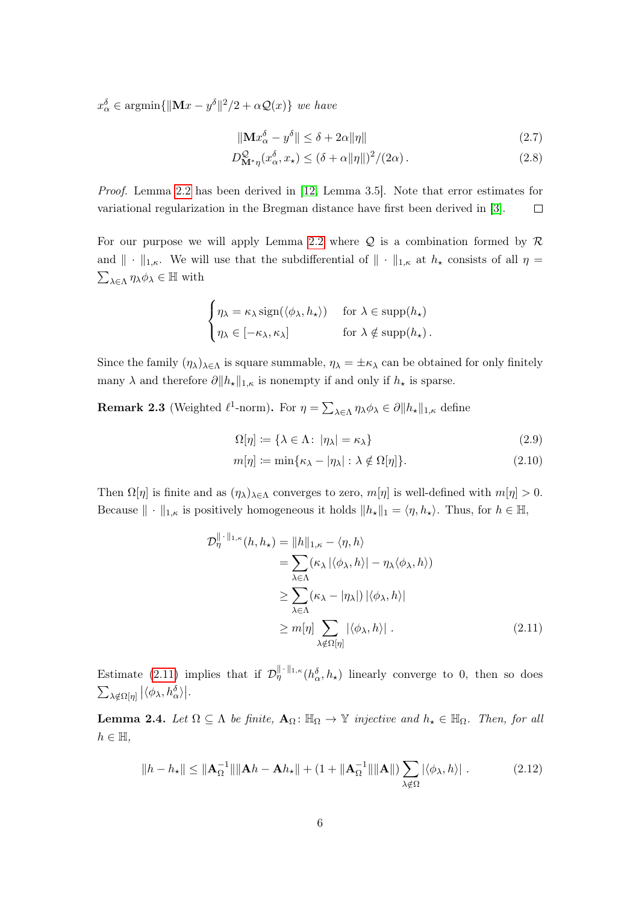$x_{\alpha}^{\delta} \in \operatorname{argmin} \{ ||\mathbf{M}x - y^{\delta}||^2/2 + \alpha \mathcal{Q}(x) \}$  we have

$$
\|\mathbf{M}x_{\alpha}^{\delta} - y^{\delta}\| \le \delta + 2\alpha \|\eta\| \tag{2.7}
$$

$$
D^{\mathcal{Q}}_{\mathbf{M}^*\eta}(x_\alpha^\delta, x_\star) \le (\delta + \alpha \|\eta\|)^2 / (2\alpha). \tag{2.8}
$$

Proof. Lemma 2.2 has been derived in [12, Lemma 3.5]. Note that error estimates for variational regularization in the Bregman distance have first been derived in [3].  $\Box$ 

For our purpose we will apply Lemma 2.2 where  $Q$  is a combination formed by  $R$ and  $\|\cdot\|_{1,\kappa}$ . We will use that the subdifferential of  $\|\cdot\|_{1,\kappa}$  at  $h_{\star}$  consists of all  $\eta =$  $\sum_{\lambda \in \Lambda} \eta_{\lambda} \phi_{\lambda} \in \mathbb{H}$  with

$$
\begin{cases} \eta_{\lambda} = \kappa_{\lambda} \operatorname{sign}(\langle \phi_{\lambda}, h_{\star} \rangle) & \text{for } \lambda \in \operatorname{supp}(h_{\star}) \\ \eta_{\lambda} \in [-\kappa_{\lambda}, \kappa_{\lambda}] & \text{for } \lambda \notin \operatorname{supp}(h_{\star}). \end{cases}
$$

Since the family  $(\eta_\lambda)_{\lambda \in \Lambda}$  is square summable,  $\eta_\lambda = \pm \kappa_\lambda$  can be obtained for only finitely many  $\lambda$  and therefore  $\partial ||h_{\star}||_{1,\kappa}$  is nonempty if and only if  $h_{\star}$  is sparse.

**Remark 2.3** (Weighted  $\ell^1$ -norm). For  $\eta = \sum_{\lambda \in \Lambda} \eta_{\lambda} \phi_{\lambda} \in \partial \|h_{\star}\|_{1,\kappa}$  define

$$
\Omega[\eta] := \{ \lambda \in \Lambda : |\eta_{\lambda}| = \kappa_{\lambda} \}
$$
\n
$$
m[\eta] := \min \{ \kappa_{\lambda} - |\eta_{\lambda}| : \lambda \notin \Omega[\eta] \}. \tag{2.10}
$$

Then  $\Omega[\eta]$  is finite and as  $(\eta_{\lambda})_{\lambda \in \Lambda}$  converges to zero,  $m[\eta]$  is well-defined with  $m[\eta] > 0$ . Because  $\|\cdot\|_{1,\kappa}$  is positively homogeneous it holds  $\|h_{\star}\|_1 = \langle \eta, h_{\star}\rangle$ . Thus, for  $h \in \mathbb{H}$ ,

$$
\mathcal{D}_{\eta}^{\|\cdot\|_{1,\kappa}}(h, h_{\star}) = \|h\|_{1,\kappa} - \langle \eta, h \rangle
$$
  
\n
$$
= \sum_{\lambda \in \Lambda} (\kappa_{\lambda} | \langle \phi_{\lambda}, h \rangle | - \eta_{\lambda} \langle \phi_{\lambda}, h \rangle)
$$
  
\n
$$
\geq \sum_{\lambda \in \Lambda} (\kappa_{\lambda} - |\eta_{\lambda}|) | \langle \phi_{\lambda}, h \rangle |
$$
  
\n
$$
\geq m[\eta] \sum_{\lambda \notin \Omega[\eta]} |\langle \phi_{\lambda}, h \rangle| . \qquad (2.11)
$$

Estimate (2.11) implies that if  $\mathcal{D}_{\eta}^{\|\cdot\|_{1,\kappa}}(h_{\alpha}^{\delta},h_{\star})$  linearly converge to 0, then so does  $\sum_{\lambda \notin \Omega[\eta]} |\langle \phi_{\lambda},h_{\alpha}^{\delta} \rangle|.$ 

**Lemma 2.4.** Let  $\Omega \subseteq \Lambda$  be finite,  $\mathbf{A}_{\Omega}$ :  $\mathbb{H}_{\Omega} \to \mathbb{Y}$  injective and  $h_{\star} \in \mathbb{H}_{\Omega}$ . Then, for all  $h \in \mathbb{H}$ ,

$$
||h - h_{\star}|| \le ||\mathbf{A}_{\Omega}^{-1}|| \|\mathbf{A}h - \mathbf{A}h_{\star}\| + (1 + \|\mathbf{A}_{\Omega}^{-1}|| \|\mathbf{A}\|) \sum_{\lambda \notin \Omega} |\langle \phi_{\lambda}, h \rangle|.
$$
 (2.12)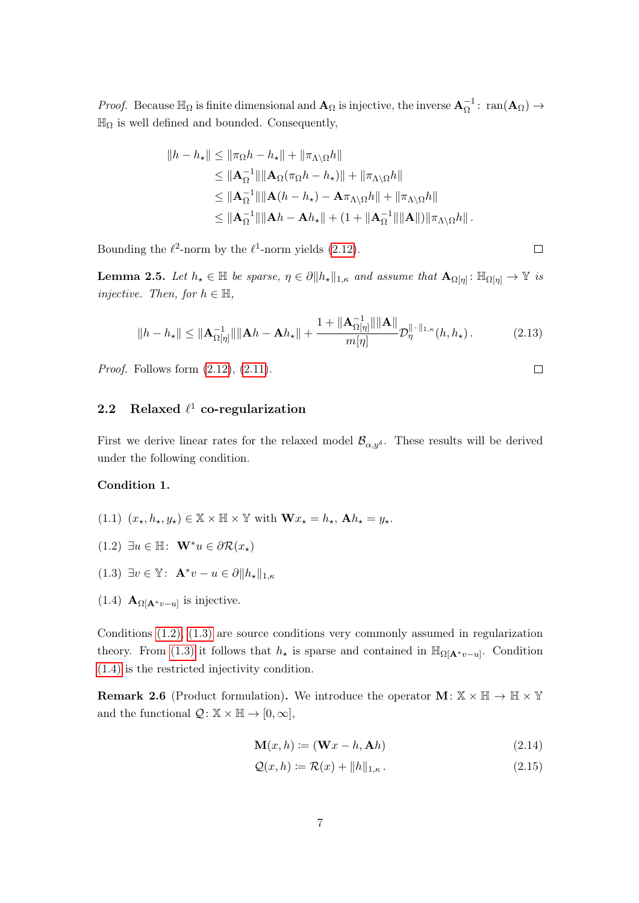*Proof.* Because  $\mathbb{H}_{\Omega}$  is finite dimensional and  $\mathbf{A}_{\Omega}$  is injective, the inverse  $\mathbf{A}_{\Omega}^{-1}$ :  $\text{ran}(\mathbf{A}_{\Omega}) \to$  $\mathbb{H}_{\Omega}$  is well defined and bounded. Consequently,

$$
||h - h_{\star}|| \le ||\pi_{\Omega}h - h_{\star}|| + ||\pi_{\Lambda\setminus\Omega}h||
$$
  
\n
$$
\le ||\mathbf{A}_{\Omega}^{-1}|| ||\mathbf{A}_{\Omega}(\pi_{\Omega}h - h_{\star})|| + ||\pi_{\Lambda\setminus\Omega}h||
$$
  
\n
$$
\le ||\mathbf{A}_{\Omega}^{-1}|| ||\mathbf{A}(h - h_{\star}) - \mathbf{A}\pi_{\Lambda\setminus\Omega}h|| + ||\pi_{\Lambda\setminus\Omega}h||
$$
  
\n
$$
\le ||\mathbf{A}_{\Omega}^{-1}|| ||\mathbf{A}h - \mathbf{A}h_{\star}|| + (1 + ||\mathbf{A}_{\Omega}^{-1}|| ||\mathbf{A}||) ||\pi_{\Lambda\setminus\Omega}h||.
$$

Bounding the  $\ell^2$ -norm by the  $\ell^1$ -norm yields (2.12).

**Lemma 2.5.** Let  $h_{\star} \in \mathbb{H}$  be sparse,  $\eta \in \partial \|h_{\star}\|_{1,\kappa}$  and assume that  $\mathbf{A}_{\Omega[\eta]} : \mathbb{H}_{\Omega[\eta]} \to \mathbb{Y}$  is injective. Then, for  $h \in \mathbb{H}$ ,

$$
||h - h_{\star}|| \le ||\mathbf{A}_{\Omega[\eta]}^{-1}|| \|\mathbf{A}h - \mathbf{A}h_{\star}|| + \frac{1 + ||\mathbf{A}_{\Omega[\eta]}^{-1}|| \|\mathbf{A}||}{m[\eta]} \mathcal{D}_{\eta}^{\|\cdot\|_{1,\kappa}}(h, h_{\star}). \tag{2.13}
$$

*Proof.* Follows form  $(2.12)$ ,  $(2.11)$ .

## 2.2 Relaxed  $\ell^1$  co-regularization

First we derive linear rates for the relaxed model  $\mathcal{B}_{\alpha,\eta\delta}$ . These results will be derived under the following condition.

## Condition 1.

- (1.1)  $(x_\star, h_\star, y_\star) \in \mathbb{X} \times \mathbb{H} \times \mathbb{Y}$  with  $\mathbf{W} x_\star = h_\star$ ,  $\mathbf{A} h_\star = y_\star$ .
- (1.2) ∃u ∈ H:  $\mathbf{W}^*u \in \partial \mathcal{R}(x_{\star})$
- (1.3)  $\exists v \in \mathbb{Y}$ :  $\mathbf{A}^*v u \in \partial \|h_{\star}\|_{1,\kappa}$
- (1.4)  $\mathbf{A}_{\Omega[\mathbf{A}^*v-u]}$  is injective.

Conditions (1.2), (1.3) are source conditions very commonly assumed in regularization theory. From (1.3) it follows that  $h_{\star}$  is sparse and contained in  $\mathbb{H}_{\Omega[\mathbf{A}^*v-u]}$ . Condition (1.4) is the restricted injectivity condition.

**Remark 2.6** (Product formulation). We introduce the operator  $\mathbf{M} \colon \mathbb{X} \times \mathbb{H} \to \mathbb{H} \times \mathbb{Y}$ and the functional  $\mathcal{Q}: \mathbb{X} \times \mathbb{H} \to [0, \infty],$ 

$$
\mathbf{M}(x,h) \coloneqq (\mathbf{W}x - h, \mathbf{A}h) \tag{2.14}
$$

$$
\mathcal{Q}(x,h) \coloneqq \mathcal{R}(x) + \|h\|_{1,\kappa} \,. \tag{2.15}
$$

 $\Box$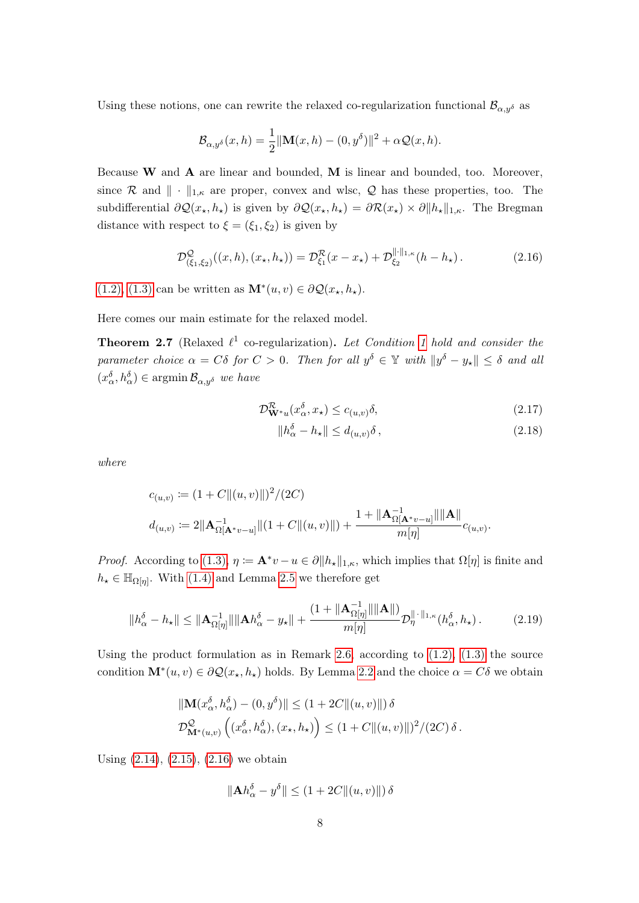Using these notions, one can rewrite the relaxed co-regularization functional  $\mathcal{B}_{\alpha,y\delta}$  as

$$
\mathcal{B}_{\alpha,y^{\delta}}(x,h) = \frac{1}{2} ||\mathbf{M}(x,h) - (0,y^{\delta})||^2 + \alpha \mathcal{Q}(x,h).
$$

Because  $W$  and  $A$  are linear and bounded,  $M$  is linear and bounded, too. Moreover, since R and  $\|\cdot\|_{1,\kappa}$  are proper, convex and wlsc, Q has these properties, too. The subdifferential  $\partial \mathcal{Q}(x_{\star}, h_{\star})$  is given by  $\partial \mathcal{Q}(x_{\star}, h_{\star}) = \partial \mathcal{R}(x_{\star}) \times \partial \|h_{\star}\|_{1,\kappa}$ . The Bregman distance with respect to  $\xi = (\xi_1, \xi_2)$  is given by

$$
\mathcal{D}^{\mathcal{Q}}_{(\xi_1,\xi_2)}((x,h),(x_{\star},h_{\star})) = \mathcal{D}^{\mathcal{R}}_{\xi_1}(x-x_{\star}) + \mathcal{D}^{\|\cdot\|_{1,\kappa}}_{\xi_2}(h-h_{\star}). \tag{2.16}
$$

(1.2), (1.3) can be written as  $\mathbf{M}^*(u, v) \in \partial \mathcal{Q}(x_*, h_*)$ .

Here comes our main estimate for the relaxed model.

**Theorem 2.7** (Relaxed  $\ell^1$  co-regularization). Let Condition 1 hold and consider the parameter choice  $\alpha = C\delta$  for  $C > 0$ . Then for all  $y^{\delta} \in \mathbb{Y}$  with  $||y^{\delta} - y_{\star}|| \leq \delta$  and all  $(x_{\alpha}^{\delta}, h_{\alpha}^{\delta}) \in \operatorname{argmin} \mathcal{B}_{\alpha, y^{\delta}}$  we have

$$
\mathcal{D}_{\mathbf{W}^*u}^{\mathcal{R}}(x_\alpha^\delta, x_\star) \le c_{(u,v)}\delta,\tag{2.17}
$$

$$
||h_{\alpha}^{\delta} - h_{\star}|| \le d_{(u,v)}\delta , \qquad (2.18)
$$

where

$$
c_{(u,v)} := (1 + C ||(u, v)||)^2 / (2C)
$$
  

$$
d_{(u,v)} := 2||\mathbf{A}_{\Omega[\mathbf{A}^*v - u]}^{-1}||(1 + C ||(u, v)||) + \frac{1 + ||\mathbf{A}_{\Omega[\mathbf{A}^*v - u]}^{-1}|| ||\mathbf{A}||}{m[\eta]} c_{(u,v)}.
$$

*Proof.* According to (1.3),  $\eta := \mathbf{A}^* v - u \in \partial ||h_x||_{1,\kappa}$ , which implies that  $\Omega[\eta]$  is finite and  $h_{\star} \in \mathbb{H}_{\Omega[\eta]}$ . With (1.4) and Lemma 2.5 we therefore get

$$
\|h_{\alpha}^{\delta}-h_{\star}\| \leq \|\mathbf{A}_{\Omega[\eta]}^{-1}\| \|\mathbf{A}h_{\alpha}^{\delta}-y_{\star}\| + \frac{(1+\|\mathbf{A}_{\Omega[\eta]}^{-1}\| \|\mathbf{A}\|)}{m[\eta]} \mathcal{D}_{\eta}^{\|\cdot\|_{1,\kappa}}(h_{\alpha}^{\delta},h_{\star}).
$$
 (2.19)

Using the product formulation as in Remark 2.6, according to  $(1.2)$ ,  $(1.3)$  the source condition  $\mathbf{M}^*(u, v) \in \partial \mathcal{Q}(x_*, h_*)$  holds. By Lemma 2.2 and the choice  $\alpha = C\delta$  we obtain

$$
\begin{aligned} &\|\mathbf{M}(x_\alpha^\delta,h_\alpha^\delta)-(0,y^\delta)\|\leq(1+2C\|(u,v)\|)\,\delta\\ \mathcal{D}_{\mathbf{M}^*(u,v)}^{\mathcal{Q}}\left((x_\alpha^\delta,h_\alpha^\delta),(x_\star,h_\star)\right)\leq(1+C\|(u,v)\|)^2/(2C)\,\delta\,. \end{aligned}
$$

Using (2.14), (2.15), (2.16) we obtain

$$
\|\mathbf{A}h_{\alpha}^{\delta} - y^{\delta}\| \le (1 + 2C \|(u, v)\|) \delta
$$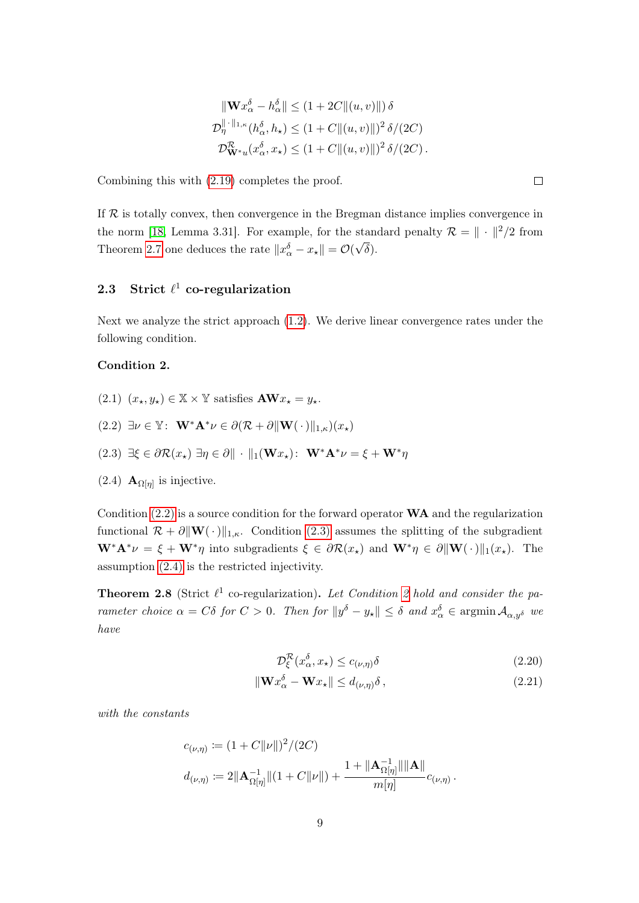$$
\begin{aligned}\n\|\mathbf{W}x_{\alpha}^{\delta} - h_{\alpha}^{\delta}\| &\leq (1 + 2C \|(u, v)\|) \delta \\
\mathcal{D}_{\eta}^{\|\cdot\|_{1,\kappa}}(h_{\alpha}^{\delta}, h_{\star}) &\leq (1 + C \|(u, v)\|)^{2} \delta / (2C) \\
\mathcal{D}_{\mathbf{W}^{*}u}^{R}(x_{\alpha}^{\delta}, x_{\star}) &\leq (1 + C \|(u, v)\|)^{2} \delta / (2C)\n\end{aligned}.
$$

Combining this with (2.19) completes the proof.

If  $R$  is totally convex, then convergence in the Bregman distance implies convergence in the norm [18, Lemma 3.31]. For example, for the standard penalty  $\mathcal{R} = \| \cdot \|^2 / 2$  from Theorem 2.7 one deduces the rate  $||x_{\alpha}^{\delta} - x_{\star}|| = \mathcal{O}(\sigma)$ √  $\delta$ ).

## 2.3 Strict  $\ell^1$  co-regularization

Next we analyze the strict approach (1.2). We derive linear convergence rates under the following condition.

## Condition 2.

- $(2.1)$   $(x_\star, y_\star) \in \mathbb{X} \times \mathbb{Y}$  satisfies  $\mathbf{A}\mathbf{W} x_\star = y_\star$ .
- $(2.2) \exists \nu \in \mathbb{Y}: \ \mathbf{W}^* \mathbf{A}^* \nu \in \partial (\mathcal{R} + \partial ||\mathbf{W}(\cdot)||_{1,\kappa})(x_\star)$
- (2.3)  $\exists \xi \in \partial \mathcal{R}(x_+) \exists \eta \in \partial \mathbb{I} \cdot \mathbb{I}_1(\mathbf{W} x_+)$ :  $\mathbf{W}^* \mathbf{A}^* \nu = \xi + \mathbf{W}^* \eta$
- $(2.4)$  **A**<sub> $\Omega[\eta]$ </sub> is injective.

Condition  $(2.2)$  is a source condition for the forward operator  $WA$  and the regularization functional  $\mathcal{R} + \partial \|\mathbf{W}(\cdot)\|_{1,\kappa}$ . Condition (2.3) assumes the splitting of the subgradient  $\mathbf{W}^*\mathbf{A}^*\nu = \xi + \mathbf{W}^*\eta$  into subgradients  $\xi \in \partial \mathcal{R}(x_\star)$  and  $\mathbf{W}^*\eta \in \partial \|\mathbf{W}(\cdot)\|_1(x_\star)$ . The assumption (2.4) is the restricted injectivity.

**Theorem 2.8** (Strict  $\ell^1$  co-regularization). Let Condition 2 hold and consider the parameter choice  $\alpha = C\delta$  for  $C > 0$ . Then for  $||y^{\delta} - y_{\star}|| \leq \delta$  and  $x_{\alpha}^{\delta} \in \operatorname{argmin} \mathcal{A}_{\alpha, y^{\delta}}$  we have

$$
\mathcal{D}_{\xi}^{\mathcal{R}}(x_{\alpha}^{\delta}, x_{\star}) \le c_{(\nu, \eta)} \delta \tag{2.20}
$$

$$
\|\mathbf{W}x_{\alpha}^{\delta} - \mathbf{W}x_{\star}\| \le d_{(\nu,\eta)}\delta\,,\tag{2.21}
$$

with the constants

$$
c_{(\nu,\eta)} := (1 + C ||\nu||)^2 / (2C)
$$
  

$$
d_{(\nu,\eta)} := 2||\mathbf{A}_{\Omega[\eta]}^{-1}||(1 + C||\nu||) + \frac{1 + ||\mathbf{A}_{\Omega[\eta]}^{-1}||||\mathbf{A}||}{m[\eta]}c_{(\nu,\eta)}.
$$

 $\Box$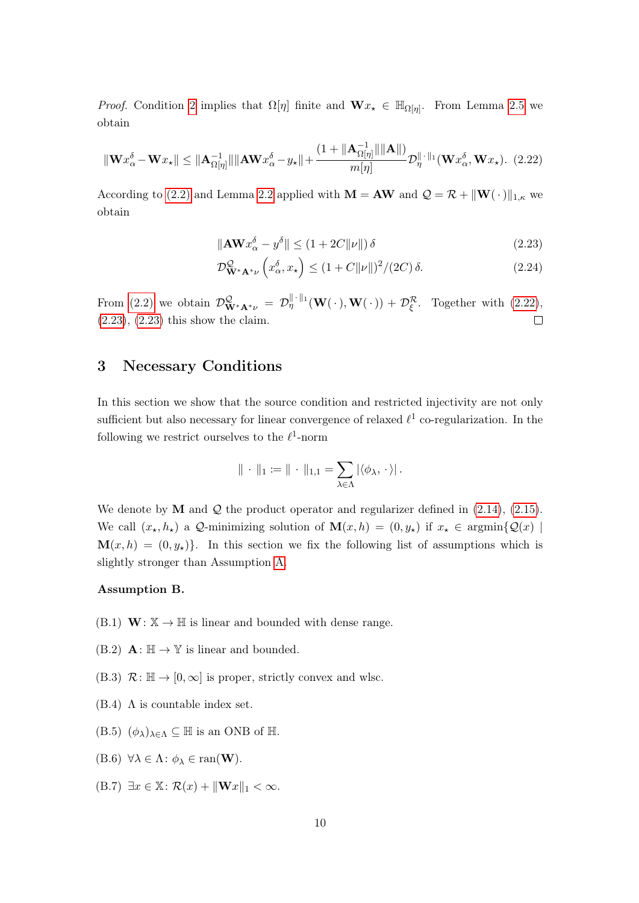*Proof.* Condition 2 implies that  $\Omega[\eta]$  finite and  $\mathbf{W}x_{\star} \in \mathbb{H}_{\Omega[\eta]}$ . From Lemma 2.5 we obtain

$$
\|\mathbf{W}x_{\alpha}^{\delta} - \mathbf{W}x_{\star}\| \le \|\mathbf{A}_{\Omega[\eta]}^{-1}\| \|\mathbf{A}\mathbf{W}x_{\alpha}^{\delta} - y_{\star}\| + \frac{(1 + \|\mathbf{A}_{\Omega[\eta]}^{-1}\| \|\mathbf{A}\|)}{m[\eta]} \mathcal{D}_{\eta}^{\|\cdot\|_1}(\mathbf{W}x_{\alpha}^{\delta}, \mathbf{W}x_{\star}).\tag{2.22}
$$

According to (2.2) and Lemma 2.2 applied with  $\mathbf{M} = \mathbf{A}\mathbf{W}$  and  $\mathcal{Q} = \mathcal{R} + ||\mathbf{W}(\cdot)||_{1,\kappa}$  we obtain

$$
\|\mathbf{A}\mathbf{W}\mathbf{x}_{\alpha}^{\delta} - \mathbf{y}^{\delta}\| \le (1 + 2C\|\nu\|)\delta\tag{2.23}
$$

$$
\mathcal{D}_{\mathbf{W}^*\mathbf{A}^*\nu}^{\mathcal{Q}}\left(x_\alpha^\delta, x_\star\right) \le (1 + C \|\nu\|)^2 / (2C) \,\delta. \tag{2.24}
$$

From (2.2) we obtain  $\mathcal{D}_{\mathbf{W}^*\mathbf{A}^*\nu}^{\mathcal{Q}} = \mathcal{D}_{\eta}^{\|\cdot\|_1}(\mathbf{W}(\cdot), \mathbf{W}(\cdot)) + \mathcal{D}_{\xi}^{\mathcal{R}}$ . Together with (2.22), (2.23), (2.23) this show the claim.  $\Box$ 

# 3 Necessary Conditions

In this section we show that the source condition and restricted injectivity are not only sufficient but also necessary for linear convergence of relaxed  $\ell^1$  co-regularization. In the following we restrict ourselves to the  $\ell^1$ -norm

$$
\|\,\cdot\,\|_1\coloneqq\|\,\cdot\,\|_{1,1}=\sum_{\lambda\in\Lambda}|\langle\phi_\lambda,\,\cdot\,\rangle|\,.
$$

We denote by  $M$  and  $Q$  the product operator and regularizer defined in  $(2.14)$ ,  $(2.15)$ . We call  $(x_{\star}, h_{\star})$  a Q-minimizing solution of  $\mathbf{M}(x, h) = (0, y_{\star})$  if  $x_{\star} \in \operatorname{argmin}\{Q(x) \mid \mathbf{M}(x, h) = (0, y_{\star})\}$  $\mathbf{M}(x, h) = (0, y_*)\}.$  In this section we fix the following list of assumptions which is slightly stronger than Assumption A.

#### Assumption B.

- $(B.1)$  **W**:  $\mathbb{X} \rightarrow \mathbb{H}$  is linear and bounded with dense range.
- (B.2)  $\mathbf{A} : \mathbb{H} \to \mathbb{Y}$  is linear and bounded.
- (B.3)  $\mathcal{R} : \mathbb{H} \to [0, \infty]$  is proper, strictly convex and wlsc.
- (B.4)  $\Lambda$  is countable index set.
- $(B.5)$   $(\phi_{\lambda})_{\lambda \in \Lambda} \subseteq \mathbb{H}$  is an ONB of  $\mathbb{H}$ .
- (B.6)  $\forall \lambda \in \Lambda : \phi_{\lambda} \in \text{ran}(\mathbf{W}).$
- (B.7)  $\exists x \in \mathbb{X} : \mathcal{R}(x) + ||\mathbf{W}x||_1 < \infty.$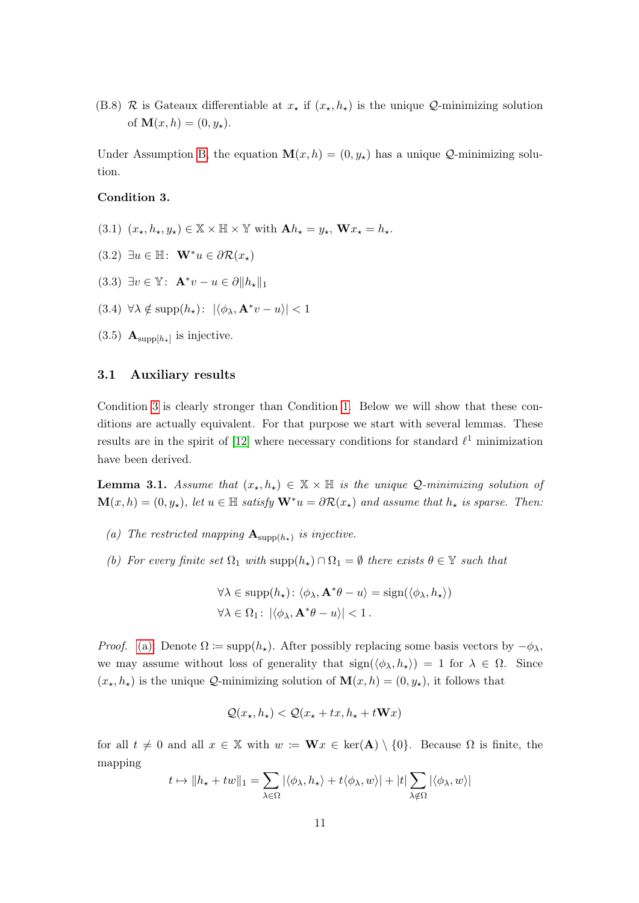(B.8) R is Gateaux differentiable at  $x_{\star}$  if  $(x_{\star}, h_{\star})$  is the unique Q-minimizing solution of  $M(x, h) = (0, y_*)$ .

Under Assumption B, the equation  $\mathbf{M}(x, h) = (0, y_*)$  has a unique Q-minimizing solution.

## Condition 3.

- (3.1)  $(x_\star, h_\star, y_\star) \in \mathbb{X} \times \mathbb{H} \times \mathbb{Y}$  with  $\mathbf{A} h_\star = y_\star$ ,  $\mathbf{W} x_\star = h_\star$ .
- $(3.2) \exists u \in \mathbb{H}: \mathbf{W}^*u \in \partial \mathcal{R}(x_*)$
- (3.3)  $\exists v \in \mathbb{Y}: \mathbf{A}^*v u \in \partial \|h_{\star}\|_1$
- (3.4)  $\forall \lambda \notin \text{supp}(h_\star): |\langle \phi_\lambda, \mathbf{A}^* v u \rangle| < 1$
- $(3.5)$   $\mathbf{A}_{\text{supp}[h_{\star}]}$  is injective.

#### 3.1 Auxiliary results

Condition 3 is clearly stronger than Condition 1. Below we will show that these conditions are actually equivalent. For that purpose we start with several lemmas. These results are in the spirit of [12] where necessary conditions for standard  $\ell^1$  minimization have been derived.

**Lemma 3.1.** Assume that  $(x_*, h_*) \in \mathbb{X} \times \mathbb{H}$  is the unique Q-minimizing solution of  $\mathbf{M}(x, h) = (0, y_{\star}),$  let  $u \in \mathbb{H}$  satisfy  $\mathbf{W}^*u = \partial \mathcal{R}(x_{\star})$  and assume that  $h_{\star}$  is sparse. Then:

- (a) The restricted mapping  $\mathbf{A}_{\text{supp}(h_{\star})}$  is injective.
- (b) For every finite set  $\Omega_1$  with  $\text{supp}(h_\star) \cap \Omega_1 = \emptyset$  there exists  $\theta \in \mathbb{Y}$  such that

$$
\forall \lambda \in \text{supp}(h_{\star}) : \langle \phi_{\lambda}, \mathbf{A}^*\theta - u \rangle = \text{sign}(\langle \phi_{\lambda}, h_{\star} \rangle)
$$

$$
\forall \lambda \in \Omega_1 : |\langle \phi_{\lambda}, \mathbf{A}^*\theta - u \rangle| < 1.
$$

*Proof.* (a): Denote  $\Omega := \text{supp}(h_\star)$ . After possibly replacing some basis vectors by  $-\phi_\lambda$ , we may assume without loss of generality that  $sign(\langle \phi_\lambda, h_\star \rangle) = 1$  for  $\lambda \in \Omega$ . Since  $(x_{\star}, h_{\star})$  is the unique Q-minimizing solution of  $\mathbf{M}(x, h) = (0, y_{\star})$ , it follows that

$$
\mathcal{Q}(x_{\star}, h_{\star}) < \mathcal{Q}(x_{\star} + tx, h_{\star} + t\mathbf{W}x)
$$

for all  $t \neq 0$  and all  $x \in \mathbb{X}$  with  $w := \mathbf{W}x \in \text{ker}(\mathbf{A}) \setminus \{0\}$ . Because  $\Omega$  is finite, the mapping

$$
t \mapsto ||h_{\star} + tw||_1 = \sum_{\lambda \in \Omega} |\langle \phi_{\lambda}, h_{\star} \rangle + t \langle \phi_{\lambda}, w \rangle| + |t| \sum_{\lambda \notin \Omega} |\langle \phi_{\lambda}, w \rangle|
$$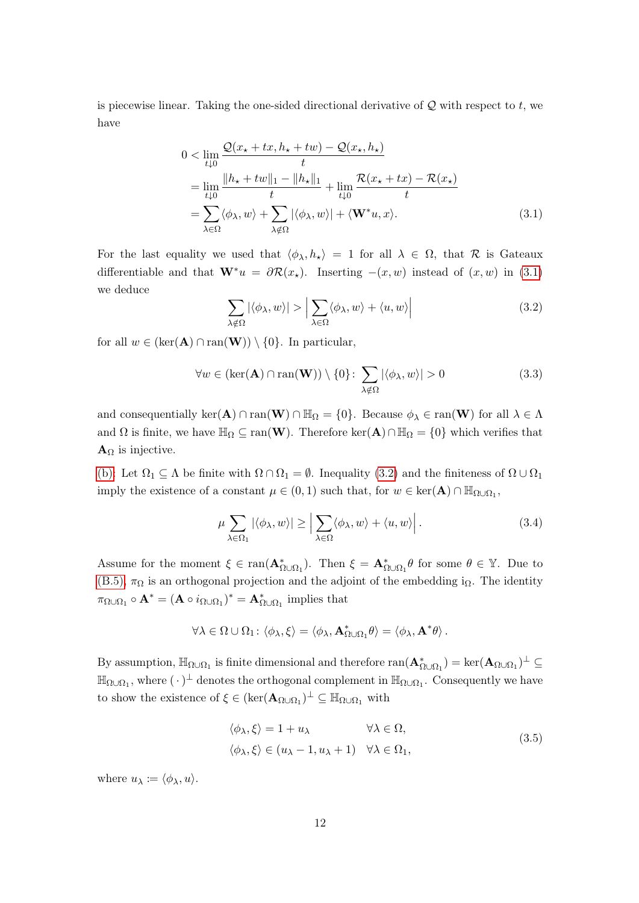is piecewise linear. Taking the one-sided directional derivative of  $Q$  with respect to  $t$ , we have

$$
0 < \lim_{t \downarrow 0} \frac{\mathcal{Q}(x_\star + tx, h_\star + tw) - \mathcal{Q}(x_\star, h_\star)}{t}
$$
\n
$$
= \lim_{t \downarrow 0} \frac{\|h_\star + tw\|_1 - \|h_\star\|_1}{t} + \lim_{t \downarrow 0} \frac{\mathcal{R}(x_\star + tx) - \mathcal{R}(x_\star)}{t}
$$
\n
$$
= \sum_{\lambda \in \Omega} \langle \phi_\lambda, w \rangle + \sum_{\lambda \notin \Omega} |\langle \phi_\lambda, w \rangle| + \langle \mathbf{W}^* u, x \rangle. \tag{3.1}
$$

For the last equality we used that  $\langle \phi_{\lambda}, h_{\star} \rangle = 1$  for all  $\lambda \in \Omega$ , that R is Gateaux differentiable and that  $\mathbf{W}^*u = \partial \mathcal{R}(x_*)$ . Inserting  $-(x, w)$  instead of  $(x, w)$  in (3.1) we deduce

$$
\sum_{\lambda \notin \Omega} |\langle \phi_{\lambda}, w \rangle| > \left| \sum_{\lambda \in \Omega} \langle \phi_{\lambda}, w \rangle + \langle u, w \rangle \right| \tag{3.2}
$$

for all  $w \in (\ker(\mathbf{A}) \cap \text{ran}(\mathbf{W})) \setminus \{0\}$ . In particular,

$$
\forall w \in (\ker(\mathbf{A}) \cap \text{ran}(\mathbf{W})) \setminus \{0\} \colon \sum_{\lambda \notin \Omega} |\langle \phi_{\lambda}, w \rangle| > 0 \tag{3.3}
$$

and consequentially  $\ker(A) \cap \text{ran}(W) \cap \mathbb{H}_{\Omega} = \{0\}$ . Because  $\phi_{\lambda} \in \text{ran}(W)$  for all  $\lambda \in \Lambda$ and  $\Omega$  is finite, we have  $\mathbb{H}_{\Omega} \subseteq \text{ran}(\mathbf{W})$ . Therefore ker $(\mathbf{A}) \cap \mathbb{H}_{\Omega} = \{0\}$  which verifies that  $\mathbf{A}_{\Omega}$  is injective.

(b): Let  $\Omega_1 \subseteq \Lambda$  be finite with  $\Omega \cap \Omega_1 = \emptyset$ . Inequality (3.2) and the finiteness of  $\Omega \cup \Omega_1$ imply the existence of a constant  $\mu \in (0,1)$  such that, for  $w \in \text{ker}(\mathbf{A}) \cap \mathbb{H}_{\Omega \cup \Omega_1}$ ,

$$
\mu \sum_{\lambda \in \Omega_1} |\langle \phi_\lambda, w \rangle| \ge \left| \sum_{\lambda \in \Omega} \langle \phi_\lambda, w \rangle + \langle u, w \rangle \right|.
$$
 (3.4)

Assume for the moment  $\xi \in \text{ran}(\mathbf{A}_{\Omega\cup\Omega_1}^*)$ . Then  $\xi = \mathbf{A}_{\Omega\cup\Omega_1}^* \theta$  for some  $\theta \in \mathbb{Y}$ . Due to (B.5),  $\pi_{\Omega}$  is an orthogonal projection and the adjoint of the embedding i<sub> $\Omega$ </sub>. The identity  $\pi_{\Omega\cup\Omega_1} \circ \mathbf{A}^* = (\mathbf{A} \circ i_{\Omega\cup\Omega_1})^* = \mathbf{A}^*_{\Omega\cup\Omega_1}$  implies that

$$
\forall \lambda \in \Omega \cup \Omega_1 \colon \langle \phi_\lambda, \xi \rangle = \langle \phi_\lambda, \mathbf{A}^*_{\Omega \cup \Omega_1} \theta \rangle = \langle \phi_\lambda, \mathbf{A}^* \theta \rangle.
$$

By assumption,  $\mathbb{H}_{\Omega\cup\Omega_1}$  is finite dimensional and therefore  $\text{ran}(\mathbf{A}^*_{\Omega\cup\Omega_1}) = \text{ker}(\mathbf{A}_{\Omega\cup\Omega_1})^\perp \subseteq$  $\mathbb{H}_{\Omega\cup\Omega_1}$ , where  $(\cdot)^{\perp}$  denotes the orthogonal complement in  $\mathbb{H}_{\Omega\cup\Omega_1}$ . Consequently we have to show the existence of  $\xi \in (\ker(\mathbf{A}_{\Omega \cup \Omega_1})^{\perp} \subseteq \mathbb{H}_{\Omega \cup \Omega_1}$  with

$$
\langle \phi_{\lambda}, \xi \rangle = 1 + u_{\lambda} \qquad \forall \lambda \in \Omega, \langle \phi_{\lambda}, \xi \rangle \in (u_{\lambda} - 1, u_{\lambda} + 1) \quad \forall \lambda \in \Omega_1,
$$
\n(3.5)

where  $u_{\lambda} \coloneqq \langle \phi_{\lambda}, u \rangle$ .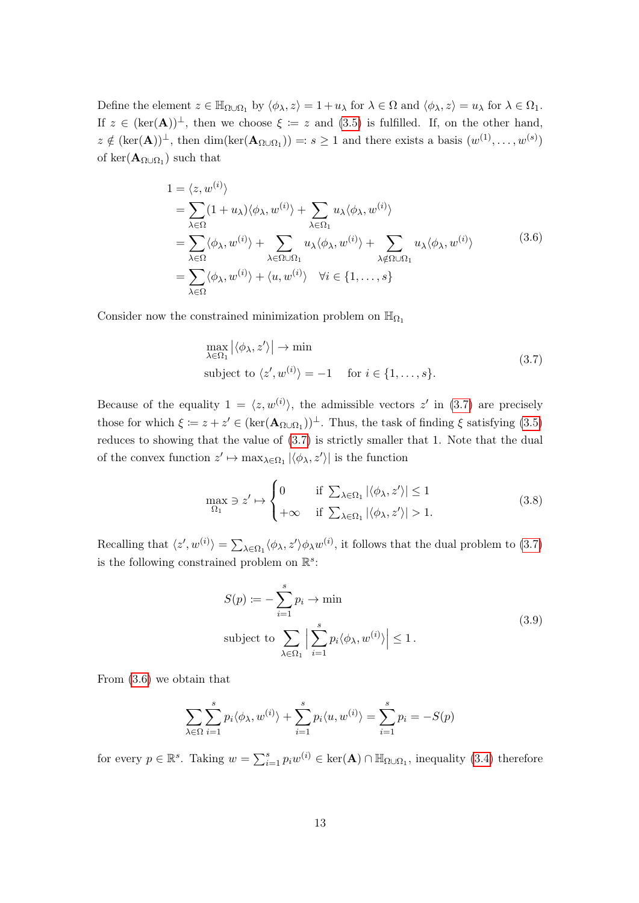Define the element  $z \in \mathbb{H}_{\Omega \cup \Omega_1}$  by  $\langle \phi_\lambda, z \rangle = 1 + u_\lambda$  for  $\lambda \in \Omega$  and  $\langle \phi_\lambda, z \rangle = u_\lambda$  for  $\lambda \in \Omega_1$ . If  $z \in (\ker(\mathbf{A}))^{\perp}$ , then we choose  $\xi := z$  and  $(3.5)$  is fulfilled. If, on the other hand,  $z \notin (\ker(A))^{\perp}$ , then  $\dim(\ker(A_{\Omega \cup \Omega_1})) =: s \geq 1$  and there exists a basis  $(w^{(1)}, \ldots, w^{(s)})$ of ker $(\mathbf{A}_{\Omega \cup \Omega_1})$  such that

$$
1 = \langle z, w^{(i)} \rangle
$$
  
\n
$$
= \sum_{\lambda \in \Omega} (1 + u_{\lambda}) \langle \phi_{\lambda}, w^{(i)} \rangle + \sum_{\lambda \in \Omega_1} u_{\lambda} \langle \phi_{\lambda}, w^{(i)} \rangle
$$
  
\n
$$
= \sum_{\lambda \in \Omega} \langle \phi_{\lambda}, w^{(i)} \rangle + \sum_{\lambda \in \Omega \cup \Omega_1} u_{\lambda} \langle \phi_{\lambda}, w^{(i)} \rangle + \sum_{\lambda \notin \Omega \cup \Omega_1} u_{\lambda} \langle \phi_{\lambda}, w^{(i)} \rangle
$$
  
\n
$$
= \sum_{\lambda \in \Omega} \langle \phi_{\lambda}, w^{(i)} \rangle + \langle u, w^{(i)} \rangle \quad \forall i \in \{1, ..., s\}
$$
\n(3.6)

Consider now the constrained minimization problem on  $\mathbb{H}_{\Omega_1}$ 

$$
\max_{\lambda \in \Omega_1} |\langle \phi_{\lambda}, z' \rangle| \to \min
$$
\nsubject to  $\langle z', w^{(i)} \rangle = -1$  for  $i \in \{1, ..., s\}.$  (3.7)

Because of the equality  $1 = \langle z, w^{(i)} \rangle$ , the admissible vectors z' in (3.7) are precisely those for which  $\xi := z + z' \in (\ker(\mathbf{A}_{\Omega \cup \Omega_1}))^{\perp}$ . Thus, the task of finding  $\xi$  satisfying (3.5) reduces to showing that the value of (3.7) is strictly smaller that 1. Note that the dual of the convex function  $z' \mapsto \max_{\lambda \in \Omega_1} |\langle \phi_\lambda, z' \rangle|$  is the function

$$
\max_{\Omega_1} \ni z' \mapsto \begin{cases} 0 & \text{if } \sum_{\lambda \in \Omega_1} |\langle \phi_\lambda, z' \rangle| \le 1 \\ +\infty & \text{if } \sum_{\lambda \in \Omega_1} |\langle \phi_\lambda, z' \rangle| > 1. \end{cases}
$$
(3.8)

Recalling that  $\langle z', w^{(i)} \rangle = \sum_{\lambda \in \Omega_1} \langle \phi_\lambda, z' \rangle \phi_\lambda w^{(i)}$ , it follows that the dual problem to (3.7) is the following constrained problem on  $\mathbb{R}^s$ :

$$
S(p) := -\sum_{i=1}^{s} p_i \to \min
$$
  
subject to 
$$
\sum_{\lambda \in \Omega_1} \left| \sum_{i=1}^{s} p_i \langle \phi_{\lambda}, w^{(i)} \rangle \right| \le 1.
$$
 (3.9)

From (3.6) we obtain that

$$
\sum_{\lambda \in \Omega} \sum_{i=1}^{s} p_i \langle \phi_{\lambda}, w^{(i)} \rangle + \sum_{i=1}^{s} p_i \langle u, w^{(i)} \rangle = \sum_{i=1}^{s} p_i = -S(p)
$$

for every  $p \in \mathbb{R}^s$ . Taking  $w = \sum_{i=1}^s p_i w^{(i)} \in \text{ker}(\mathbf{A}) \cap \mathbb{H}_{\Omega \cup \Omega_1}$ , inequality (3.4) therefore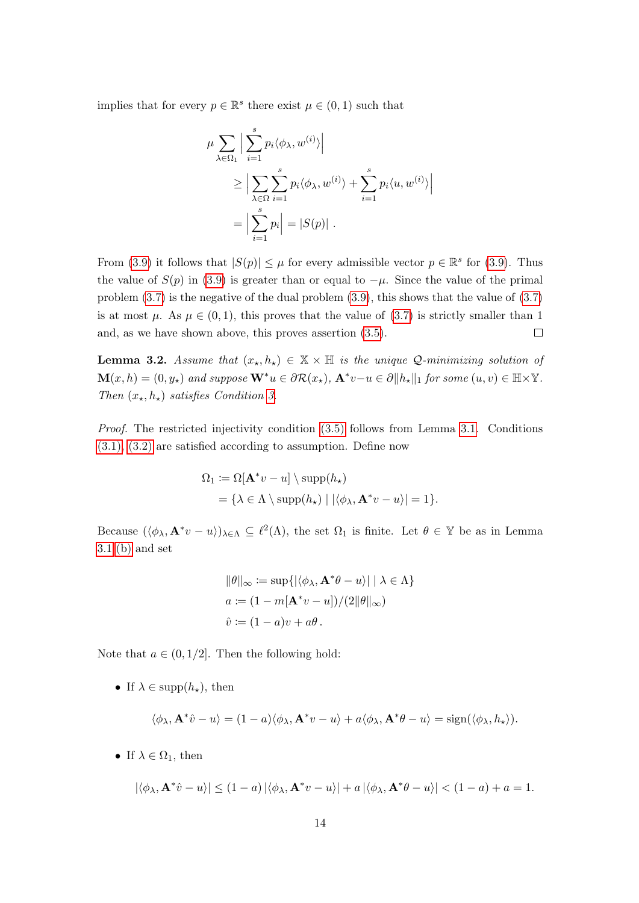implies that for every  $p \in \mathbb{R}^s$  there exist  $\mu \in (0, 1)$  such that

$$
\mu \sum_{\lambda \in \Omega_1} \left| \sum_{i=1}^s p_i \langle \phi_{\lambda}, w^{(i)} \rangle \right|
$$
  
\n
$$
\geq \left| \sum_{\lambda \in \Omega} \sum_{i=1}^s p_i \langle \phi_{\lambda}, w^{(i)} \rangle + \sum_{i=1}^s p_i \langle u, w^{(i)} \rangle \right|
$$
  
\n
$$
= \left| \sum_{i=1}^s p_i \right| = |S(p)| .
$$

From (3.9) it follows that  $|S(p)| \leq \mu$  for every admissible vector  $p \in \mathbb{R}^s$  for (3.9). Thus the value of  $S(p)$  in (3.9) is greater than or equal to  $-\mu$ . Since the value of the primal problem (3.7) is the negative of the dual problem (3.9), this shows that the value of (3.7) is at most  $\mu$ . As  $\mu \in (0,1)$ , this proves that the value of (3.7) is strictly smaller than 1 and, as we have shown above, this proves assertion (3.5).  $\Box$ 

**Lemma 3.2.** Assume that  $(x_*, h_*) \in \mathbb{X} \times \mathbb{H}$  is the unique Q-minimizing solution of  $\mathbf{M}(x, h) = (0, y_*)$  and suppose  $\mathbf{W}^*u \in \partial \mathcal{R}(x_*)$ ,  $\mathbf{A}^*v-u \in \partial ||h_*||_1$  for some  $(u, v) \in \mathbb{H} \times \mathbb{Y}$ . Then  $(x_{\star}, h_{\star})$  satisfies Condition 3.

Proof. The restricted injectivity condition (3.5) follows from Lemma 3.1. Conditions (3.1), (3.2) are satisfied according to assumption. Define now

$$
\Omega_1 := \Omega[\mathbf{A}^* v - u] \setminus \mathrm{supp}(h_\star)
$$
  
=  $\{\lambda \in \Lambda \setminus \mathrm{supp}(h_\star) \mid |\langle \phi_\lambda, \mathbf{A}^* v - u \rangle| = 1\}.$ 

Because  $(\langle \phi_\lambda, \mathbf{A}^* v - u \rangle)_{\lambda \in \Lambda} \subseteq \ell^2(\Lambda)$ , the set  $\Omega_1$  is finite. Let  $\theta \in \mathbb{Y}$  be as in Lemma 3.1 (b) and set

$$
\|\theta\|_{\infty} := \sup\{|\langle \phi_{\lambda}, \mathbf{A}^*\theta - u \rangle| \mid \lambda \in \Lambda\}
$$
  

$$
a := (1 - m[\mathbf{A}^*v - u])/(2\|\theta\|_{\infty})
$$
  

$$
\hat{v} := (1 - a)v + a\theta.
$$

Note that  $a \in (0, 1/2]$ . Then the following hold:

• If  $\lambda \in \text{supp}(h_\star)$ , then

$$
\langle \phi_{\lambda}, \mathbf{A}^*\hat{v} - u \rangle = (1 - a) \langle \phi_{\lambda}, \mathbf{A}^*v - u \rangle + a \langle \phi_{\lambda}, \mathbf{A}^*\theta - u \rangle = \text{sign}(\langle \phi_{\lambda}, h_{\star} \rangle).
$$

• If  $\lambda \in \Omega_1$ , then

$$
|\langle \phi_{\lambda}, \mathbf{A}^*\hat{v} - u \rangle| \le (1 - a) |\langle \phi_{\lambda}, \mathbf{A}^*v - u \rangle| + a |\langle \phi_{\lambda}, \mathbf{A}^*\theta - u \rangle| < (1 - a) + a = 1.
$$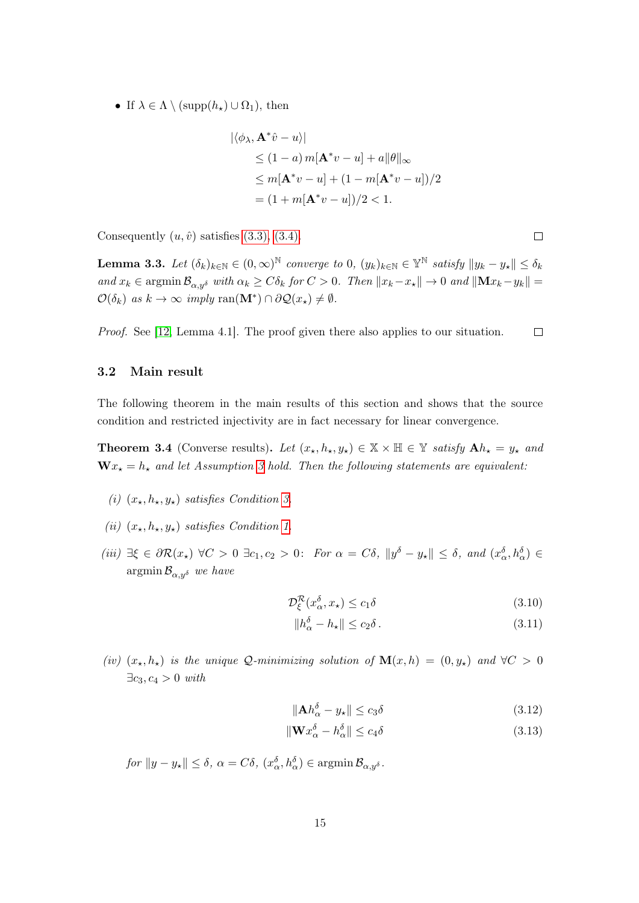• If  $\lambda \in \Lambda \setminus (\text{supp}(h_{\star}) \cup \Omega_1)$ , then

$$
|\langle \phi_{\lambda}, \mathbf{A}^* \hat{v} - u \rangle|
$$
  
\n
$$
\leq (1 - a) m[\mathbf{A}^* v - u] + a ||\theta||_{\infty}
$$
  
\n
$$
\leq m[\mathbf{A}^* v - u] + (1 - m[\mathbf{A}^* v - u])/2
$$
  
\n
$$
= (1 + m[\mathbf{A}^* v - u])/2 < 1.
$$

Consequently  $(u, \hat{v})$  satisfies  $(3.3), (3.4)$ .

**Lemma 3.3.** Let  $(\delta_k)_{k\in\mathbb{N}} \in (0,\infty)^{\mathbb{N}}$  converge to  $0$ ,  $(y_k)_{k\in\mathbb{N}} \in \mathbb{Y}^{\mathbb{N}}$  satisfy  $||y_k - y_*|| \leq \delta_k$ and  $x_k \in \operatorname{argmin} \mathcal{B}_{\alpha, y^\delta}$  with  $\alpha_k \geq C \delta_k$  for  $C > 0$ . Then  $||x_k - x_{\star}|| \to 0$  and  $||\mathbf{M} x_k - y_k|| =$  $\mathcal{O}(\delta_k)$  as  $k \to \infty$  imply ran( $\mathbf{M}^* \cap \partial \mathcal{Q}(x_*) \neq \emptyset$ .

Proof. See [12, Lemma 4.1]. The proof given there also applies to our situation.  $\Box$ 

## 3.2 Main result

The following theorem in the main results of this section and shows that the source condition and restricted injectivity are in fact necessary for linear convergence.

**Theorem 3.4** (Converse results). Let  $(x_*, h_*, y_*) \in \mathbb{X} \times \mathbb{H} \in \mathbb{Y}$  satisfy  $\mathbf{A}h_* = y_*$  and  $\mathbf{W} x_{\star} = h_{\star}$  and let Assumption 3 hold. Then the following statements are equivalent:

- (i)  $(x_{\star}, h_{\star}, y_{\star})$  satisfies Condition 3.
- (ii)  $(x_{\star}, h_{\star}, y_{\star})$  satisfies Condition 1.
- (iii)  $\exists \xi \in \partial \mathcal{R}(x_{\star}) \ \forall C > 0 \ \exists c_1, c_2 > 0$ : For  $\alpha = C\delta$ ,  $||y^{\delta} y_{\star}|| \leq \delta$ , and  $(x_{\alpha}^{\delta}, h_{\alpha}^{\delta}) \in$  $\operatorname{argmin} \mathcal{B}_{\alpha, y^{\delta}}$  we have

$$
\mathcal{D}_{\xi}^{\mathcal{R}}(x_{\alpha}^{\delta}, x_{\star}) \le c_1 \delta \tag{3.10}
$$

$$
||h_{\alpha}^{\delta} - h_{\star}|| \le c_2 \delta.
$$
\n(3.11)

(iv)  $(x_\star, h_\star)$  is the unique Q-minimizing solution of  $\mathbf{M}(x, h) = (0, y_\star)$  and  $\forall C > 0$  $\exists c_3, c_4 > 0$  with

$$
\|\mathbf{A}h_{\alpha}^{\delta} - y_{\star}\| \le c_3 \delta \tag{3.12}
$$

$$
\|\mathbf{W}x_{\alpha}^{\delta} - h_{\alpha}^{\delta}\| \le c_4 \delta \tag{3.13}
$$

 $for \|y - y_\star\| \le \delta, \ \alpha = C\delta, \ (x_\alpha^\delta, h_\alpha^\delta) \in \mathop{\rm argmin}\limits \mathcal{B}_{\alpha, y^\delta}.$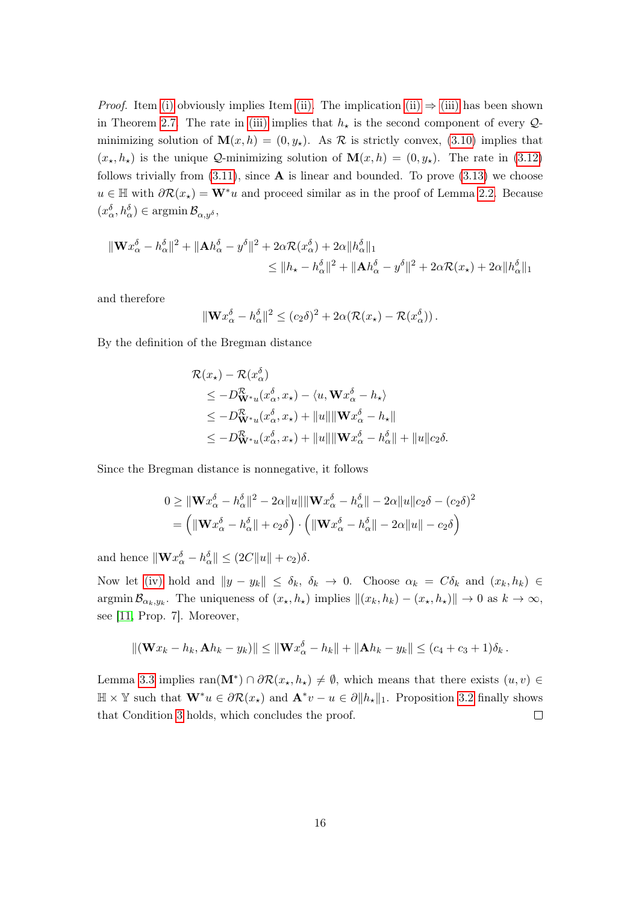*Proof.* Item (i) obviously implies Item (ii). The implication (ii)  $\Rightarrow$  (iii) has been shown in Theorem 2.7. The rate in (iii) implies that  $h<sub>\star</sub>$  is the second component of every  $\mathcal{Q}$ minimizing solution of  $\mathbf{M}(x,h) = (0,y_\star)$ . As  $\mathcal R$  is strictly convex, (3.10) implies that  $(x_{\star}, h_{\star})$  is the unique Q-minimizing solution of  $\mathbf{M}(x, h) = (0, y_{\star})$ . The rate in (3.12) follows trivially from  $(3.11)$ , since **A** is linear and bounded. To prove  $(3.13)$  we choose  $u \in \mathbb{H}$  with  $\partial \mathcal{R}(x_{\star}) = \mathbf{W}^* u$  and proceed similar as in the proof of Lemma 2.2. Because  $(x_{\alpha}^{\delta}, h_{\alpha}^{\delta}) \in \operatorname{argmin} \mathcal{B}_{\alpha, y^{\delta}},$ 

$$
\begin{aligned} \|\mathbf{W}x_{\alpha}^{\delta}-h_{\alpha}^{\delta}\|^{2}+\|\mathbf{A}h_{\alpha}^{\delta}-y^{\delta}\|^{2}+2\alpha\mathcal{R}(x_{\alpha}^{\delta})+2\alpha\|h_{\alpha}^{\delta}\|_{1} \\ &\leq \|h_{\star}-h_{\alpha}^{\delta}\|^{2}+\|\mathbf{A}h_{\alpha}^{\delta}-y^{\delta}\|^{2}+2\alpha\mathcal{R}(x_{\star})+2\alpha\|h_{\alpha}^{\delta}\|_{1} \end{aligned}
$$

and therefore

$$
\|\mathbf{W} x_{\alpha}^{\delta} - h_{\alpha}^{\delta}\|^2 \le (c_2 \delta)^2 + 2\alpha (\mathcal{R}(x_{\star}) - \mathcal{R}(x_{\alpha}^{\delta})).
$$

By the definition of the Bregman distance

$$
\mathcal{R}(x_{\star}) - \mathcal{R}(x_{\alpha}^{\delta})
$$
\n
$$
\leq -D_{\mathbf{W}^*u}^{\mathcal{R}}(x_{\alpha}^{\delta}, x_{\star}) - \langle u, \mathbf{W}x_{\alpha}^{\delta} - h_{\star} \rangle
$$
\n
$$
\leq -D_{\mathbf{W}^*u}^{\mathcal{R}}(x_{\alpha}^{\delta}, x_{\star}) + ||u|| ||\mathbf{W}x_{\alpha}^{\delta} - h_{\star}||
$$
\n
$$
\leq -D_{\mathbf{W}^*u}^{\mathcal{R}}(x_{\alpha}^{\delta}, x_{\star}) + ||u|| ||\mathbf{W}x_{\alpha}^{\delta} - h_{\alpha}^{\delta}|| + ||u|| c_2 \delta.
$$

Since the Bregman distance is nonnegative, it follows

$$
0 \geq ||\mathbf{W}x_{\alpha}^{\delta} - h_{\alpha}^{\delta}||^{2} - 2\alpha ||u|| ||\mathbf{W}x_{\alpha}^{\delta} - h_{\alpha}^{\delta}|| - 2\alpha ||u||c_{2}\delta - (c_{2}\delta)^{2}
$$
  
= 
$$
||\mathbf{W}x_{\alpha}^{\delta} - h_{\alpha}^{\delta}|| + c_{2}\delta \Big) \cdot (||\mathbf{W}x_{\alpha}^{\delta} - h_{\alpha}^{\delta}|| - 2\alpha ||u|| - c_{2}\delta)
$$

and hence  $\|\mathbf{W} \mathbf{x}_{\alpha}^{\delta} - \mathbf{h}_{\alpha}^{\delta}\| \leq (2C\|\mathbf{u}\| + c_2)\delta.$ 

Now let (iv) hold and  $||y - y_k|| \leq \delta_k$ ,  $\delta_k \to 0$ . Choose  $\alpha_k = C \delta_k$  and  $(x_k, h_k) \in$ argmin  $\mathcal{B}_{\alpha_k, y_k}$ . The uniqueness of  $(x_\star, h_\star)$  implies  $\|(x_k, h_k) - (x_\star, h_\star)\| \to 0$  as  $k \to \infty$ , see [11, Prop. 7]. Moreover,

$$
\|(\mathbf{W}x_k - h_k, \mathbf{A}h_k - y_k)\| \leq \|\mathbf{W}x_{\alpha}^{\delta} - h_k\| + \|\mathbf{A}h_k - y_k\| \leq (c_4 + c_3 + 1)\delta_k.
$$

Lemma 3.3 implies  $ran(\mathbf{M}^*) \cap \partial \mathcal{R}(x_*, h_*) \neq \emptyset$ , which means that there exists  $(u, v) \in$  $\mathbb{H} \times \mathbb{Y}$  such that  $\mathbf{W}^*u \in \partial \mathcal{R}(x_\star)$  and  $\mathbf{A}^*v - u \in \partial \|h_\star\|_1$ . Proposition 3.2 finally shows that Condition 3 holds, which concludes the proof.  $\Box$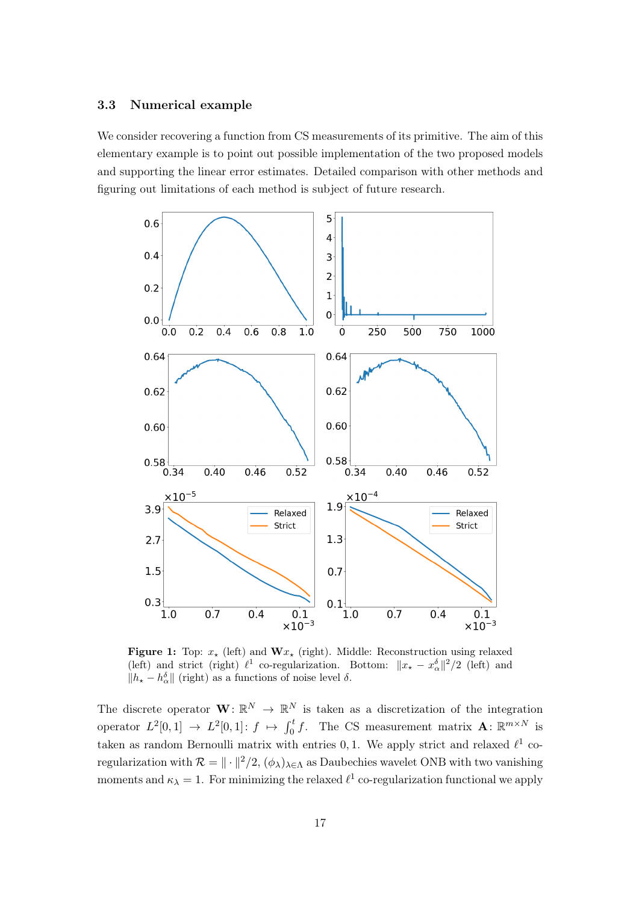## 3.3 Numerical example

We consider recovering a function from CS measurements of its primitive. The aim of this elementary example is to point out possible implementation of the two proposed models and supporting the linear error estimates. Detailed comparison with other methods and figuring out limitations of each method is subject of future research.



**Figure 1:** Top:  $x_*$  (left) and  $\mathbf{W} x_*$  (right). Middle: Reconstruction using relaxed (left) and strict (right)  $\ell^1$  co-regularization. Bottom:  $||x_\star - x_\alpha^{\delta}||^2/2$  (left) and  $||h<sub>★</sub> - h<sub>α</sub><sup>δ</sup>||$  (right) as a functions of noise level  $\delta$ .

The discrete operator  $\mathbf{W} \colon \mathbb{R}^N \to \mathbb{R}^N$  is taken as a discretization of the integration operator  $L^2[0,1] \to L^2[0,1]$ :  $f \mapsto \int_0^t f$ . The CS measurement matrix  $\mathbf{A}: \mathbb{R}^{m \times N}$  is taken as random Bernoulli matrix with entries 0, 1. We apply strict and relaxed  $\ell^1$  coregularization with  $\mathcal{R} = \| \cdot \|^2 / 2$ ,  $(\phi_\lambda)_{\lambda \in \Lambda}$  as Daubechies wavelet ONB with two vanishing moments and  $\kappa_{\lambda} = 1$ . For minimizing the relaxed  $\ell^{1}$  co-regularization functional we apply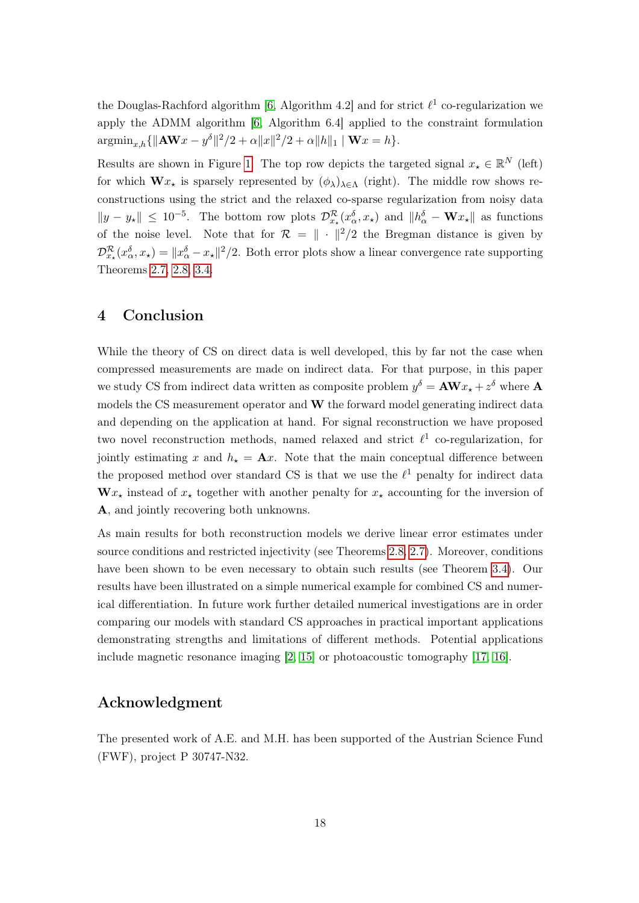the Douglas-Rachford algorithm [6, Algorithm 4.2] and for strict  $\ell^1$  co-regularization we apply the ADMM algorithm [6, Algorithm 6.4] applied to the constraint formulation  $\mathrm{argmin}_{x,h} \{ ||A \mathbf{W} x - y^{\delta}||^2/2 + \alpha ||x||^2/2 + \alpha ||h||_1 \mid \mathbf{W} x = h \}.$ 

Results are shown in Figure 1. The top row depicts the targeted signal  $x_* \in \mathbb{R}^N$  (left) for which  $\mathbf{W}x_{\star}$  is sparsely represented by  $(\phi_{\lambda})_{\lambda \in \Lambda}$  (right). The middle row shows reconstructions using the strict and the relaxed co-sparse regularization from noisy data  $||y - y_{\star}|| \leq 10^{-5}$ . The bottom row plots  $\mathcal{D}_{x_{\star}}^{\mathcal{R}}(x_{\alpha}^{\delta}, x_{\star})$  and  $||h_{\alpha}^{\delta} - \mathbf{W}x_{\star}||$  as functions of the noise level. Note that for  $\mathcal{R} = \| \cdot \|^2 / 2$  the Bregman distance is given by  $\mathcal{D}_{x_\star}^{\mathcal{R}}(x_\alpha^\delta, x_\star) = \|x_\alpha^\delta - x_\star\|^2/2$ . Both error plots show a linear convergence rate supporting Theorems 2.7, 2.8, 3.4.

## 4 Conclusion

While the theory of CS on direct data is well developed, this by far not the case when compressed measurements are made on indirect data. For that purpose, in this paper we study CS from indirect data written as composite problem  $y^{\delta} = A W x_{\star} + z^{\delta}$  where A models the CS measurement operator and  $W$  the forward model generating indirect data and depending on the application at hand. For signal reconstruction we have proposed two novel reconstruction methods, named relaxed and strict  $\ell^1$  co-regularization, for jointly estimating x and  $h<sub>\star</sub> = \mathbf{A}x$ . Note that the main conceptual difference between the proposed method over standard CS is that we use the  $\ell^1$  penalty for indirect data  $\mathbf{W} x_{\star}$  instead of  $x_{\star}$  together with another penalty for  $x_{\star}$  accounting for the inversion of A, and jointly recovering both unknowns.

As main results for both reconstruction models we derive linear error estimates under source conditions and restricted injectivity (see Theorems 2.8, 2.7). Moreover, conditions have been shown to be even necessary to obtain such results (see Theorem 3.4). Our results have been illustrated on a simple numerical example for combined CS and numerical differentiation. In future work further detailed numerical investigations are in order comparing our models with standard CS approaches in practical important applications demonstrating strengths and limitations of different methods. Potential applications include magnetic resonance imaging [2, 15] or photoacoustic tomography [17, 16].

# Acknowledgment

The presented work of A.E. and M.H. has been supported of the Austrian Science Fund (FWF), project P 30747-N32.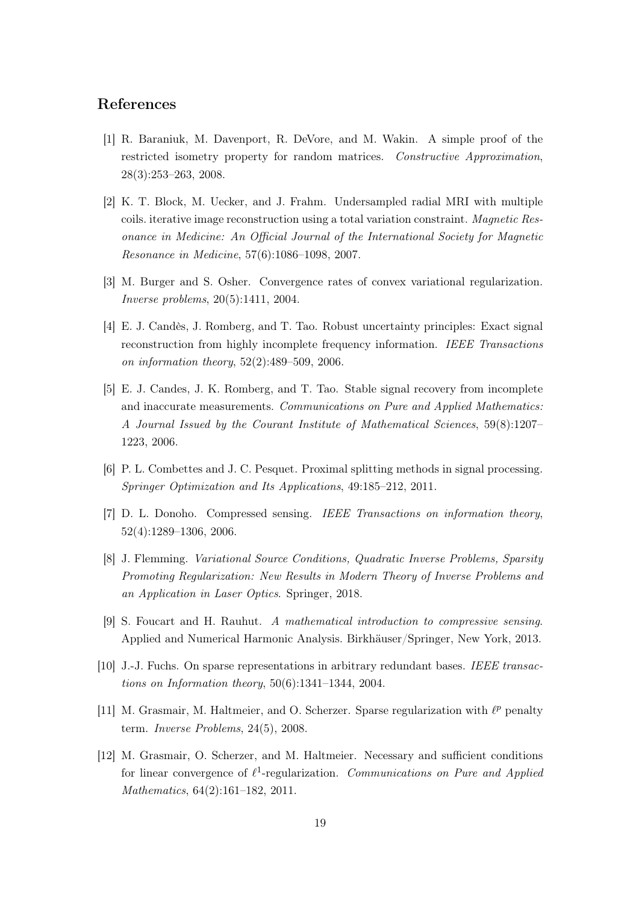## References

- [1] R. Baraniuk, M. Davenport, R. DeVore, and M. Wakin. A simple proof of the restricted isometry property for random matrices. Constructive Approximation, 28(3):253–263, 2008.
- [2] K. T. Block, M. Uecker, and J. Frahm. Undersampled radial MRI with multiple coils. iterative image reconstruction using a total variation constraint. Magnetic Resonance in Medicine: An Official Journal of the International Society for Magnetic Resonance in Medicine, 57(6):1086–1098, 2007.
- [3] M. Burger and S. Osher. Convergence rates of convex variational regularization. Inverse problems, 20(5):1411, 2004.
- [4] E. J. Candès, J. Romberg, and T. Tao. Robust uncertainty principles: Exact signal reconstruction from highly incomplete frequency information. IEEE Transactions on information theory, 52(2):489–509, 2006.
- [5] E. J. Candes, J. K. Romberg, and T. Tao. Stable signal recovery from incomplete and inaccurate measurements. Communications on Pure and Applied Mathematics: A Journal Issued by the Courant Institute of Mathematical Sciences, 59(8):1207– 1223, 2006.
- [6] P. L. Combettes and J. C. Pesquet. Proximal splitting methods in signal processing. Springer Optimization and Its Applications, 49:185–212, 2011.
- [7] D. L. Donoho. Compressed sensing. IEEE Transactions on information theory, 52(4):1289–1306, 2006.
- [8] J. Flemming. Variational Source Conditions, Quadratic Inverse Problems, Sparsity Promoting Regularization: New Results in Modern Theory of Inverse Problems and an Application in Laser Optics. Springer, 2018.
- [9] S. Foucart and H. Rauhut. A mathematical introduction to compressive sensing. Applied and Numerical Harmonic Analysis. Birkhäuser/Springer, New York, 2013.
- [10] J.-J. Fuchs. On sparse representations in arbitrary redundant bases. IEEE transactions on Information theory,  $50(6)$ :1341-1344, 2004.
- [11] M. Grasmair, M. Haltmeier, and O. Scherzer. Sparse regularization with  $\ell^p$  penalty term. Inverse Problems, 24(5), 2008.
- [12] M. Grasmair, O. Scherzer, and M. Haltmeier. Necessary and sufficient conditions for linear convergence of  $\ell^1$ -regularization. Communications on Pure and Applied Mathematics, 64(2):161–182, 2011.